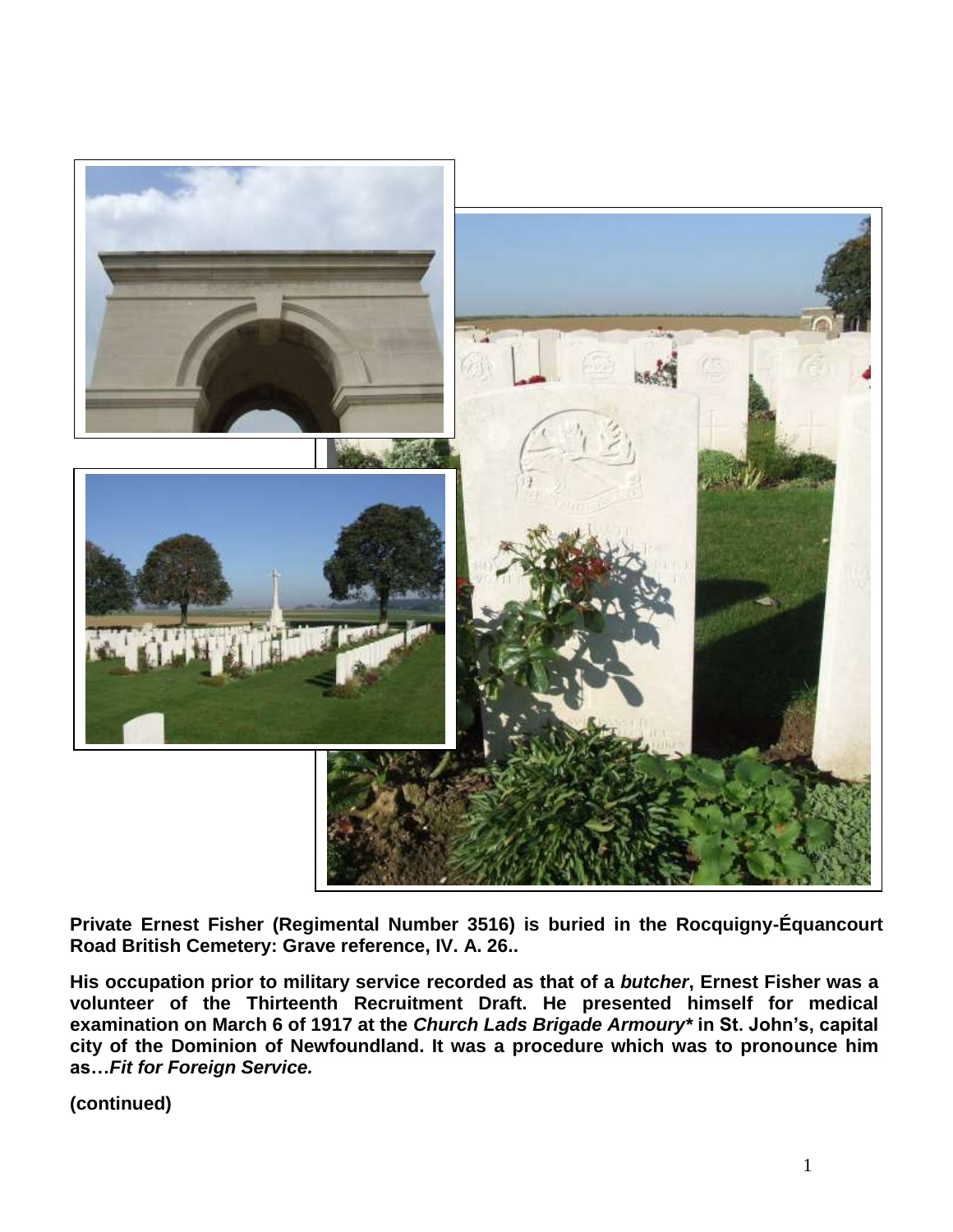

**Private Ernest Fisher (Regimental Number 3516) is buried in the Rocquigny-Équancourt Road British Cemetery: Grave reference, IV. A. 26..**

**His occupation prior to military service recorded as that of a** *butcher***, Ernest Fisher was a volunteer of the Thirteenth Recruitment Draft. He presented himself for medical examination on March 6 of 1917 at the** *Church Lads Brigade Armoury\** **in St. John's, capital city of the Dominion of Newfoundland. It was a procedure which was to pronounce him as…***Fit for Foreign Service.*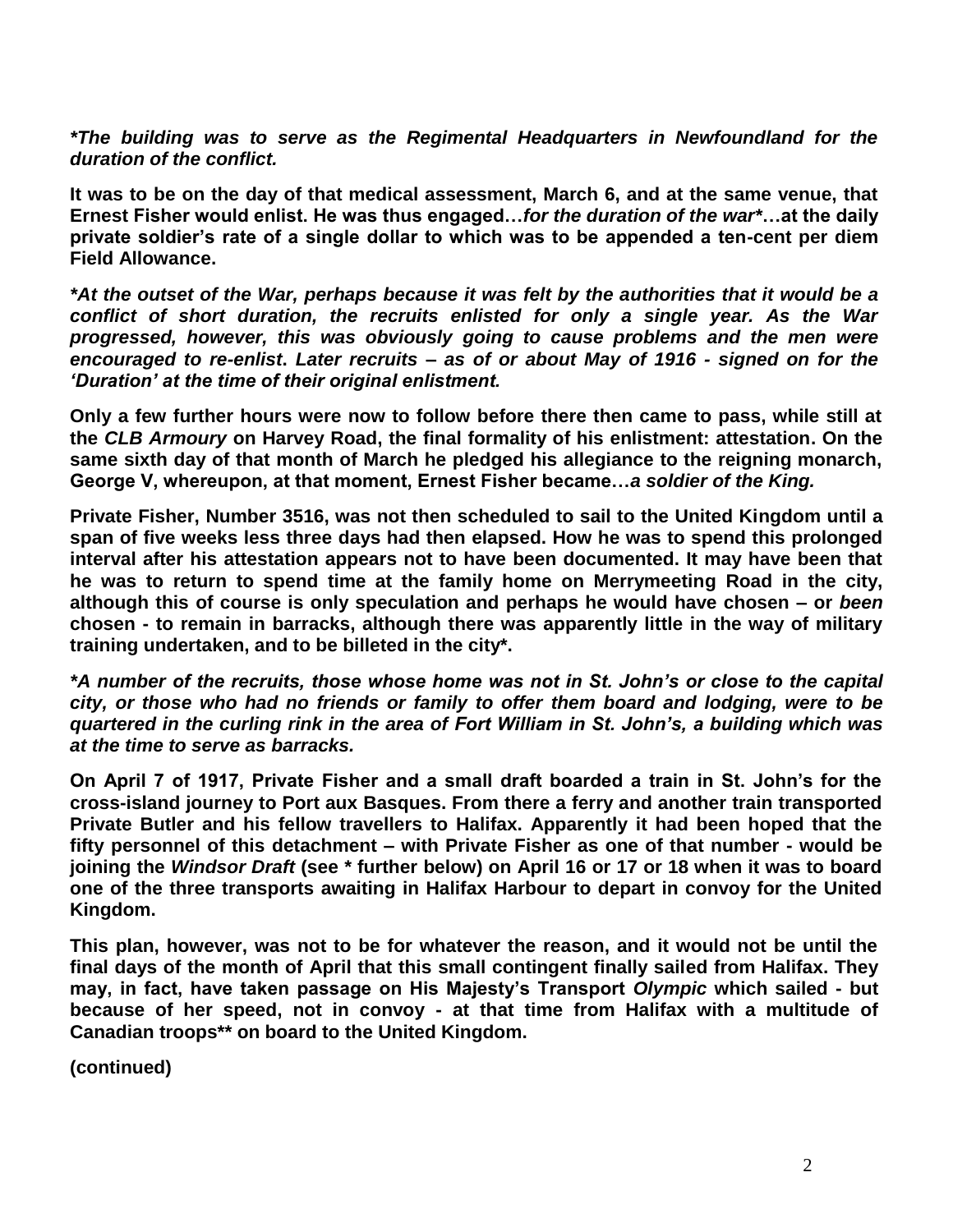*\*The building was to serve as the Regimental Headquarters in Newfoundland for the duration of the conflict.*

**It was to be on the day of that medical assessment, March 6, and at the same venue, that Ernest Fisher would enlist. He was thus engaged…***for the duration of the war\****…at the daily private soldier's rate of a single dollar to which was to be appended a ten-cent per diem Field Allowance.**

*\*At the outset of the War, perhaps because it was felt by the authorities that it would be a conflict of short duration, the recruits enlisted for only a single year. As the War progressed, however, this was obviously going to cause problems and the men were encouraged to re-enlist***.** *Later recruits – as of or about May of 1916 - signed on for the 'Duration' at the time of their original enlistment.*

**Only a few further hours were now to follow before there then came to pass, while still at the** *CLB Armoury* **on Harvey Road, the final formality of his enlistment: attestation. On the same sixth day of that month of March he pledged his allegiance to the reigning monarch, George V, whereupon, at that moment, Ernest Fisher became…***a soldier of the King.*

**Private Fisher, Number 3516, was not then scheduled to sail to the United Kingdom until a span of five weeks less three days had then elapsed. How he was to spend this prolonged interval after his attestation appears not to have been documented. It may have been that he was to return to spend time at the family home on Merrymeeting Road in the city, although this of course is only speculation and perhaps he would have chosen – or** *been* **chosen - to remain in barracks, although there was apparently little in the way of military training undertaken, and to be billeted in the city\*.**

*\*A number of the recruits, those whose home was not in St. John's or close to the capital city, or those who had no friends or family to offer them board and lodging, were to be quartered in the curling rink in the area of Fort William in St. John's, a building which was at the time to serve as barracks.*

**On April 7 of 1917, Private Fisher and a small draft boarded a train in St. John's for the cross-island journey to Port aux Basques. From there a ferry and another train transported Private Butler and his fellow travellers to Halifax. Apparently it had been hoped that the fifty personnel of this detachment – with Private Fisher as one of that number - would be joining the** *Windsor Draft* **(see \* further below) on April 16 or 17 or 18 when it was to board one of the three transports awaiting in Halifax Harbour to depart in convoy for the United Kingdom.** 

**This plan, however, was not to be for whatever the reason, and it would not be until the final days of the month of April that this small contingent finally sailed from Halifax. They may, in fact, have taken passage on His Majesty's Transport** *Olympic* **which sailed - but because of her speed, not in convoy - at that time from Halifax with a multitude of Canadian troops\*\* on board to the United Kingdom.**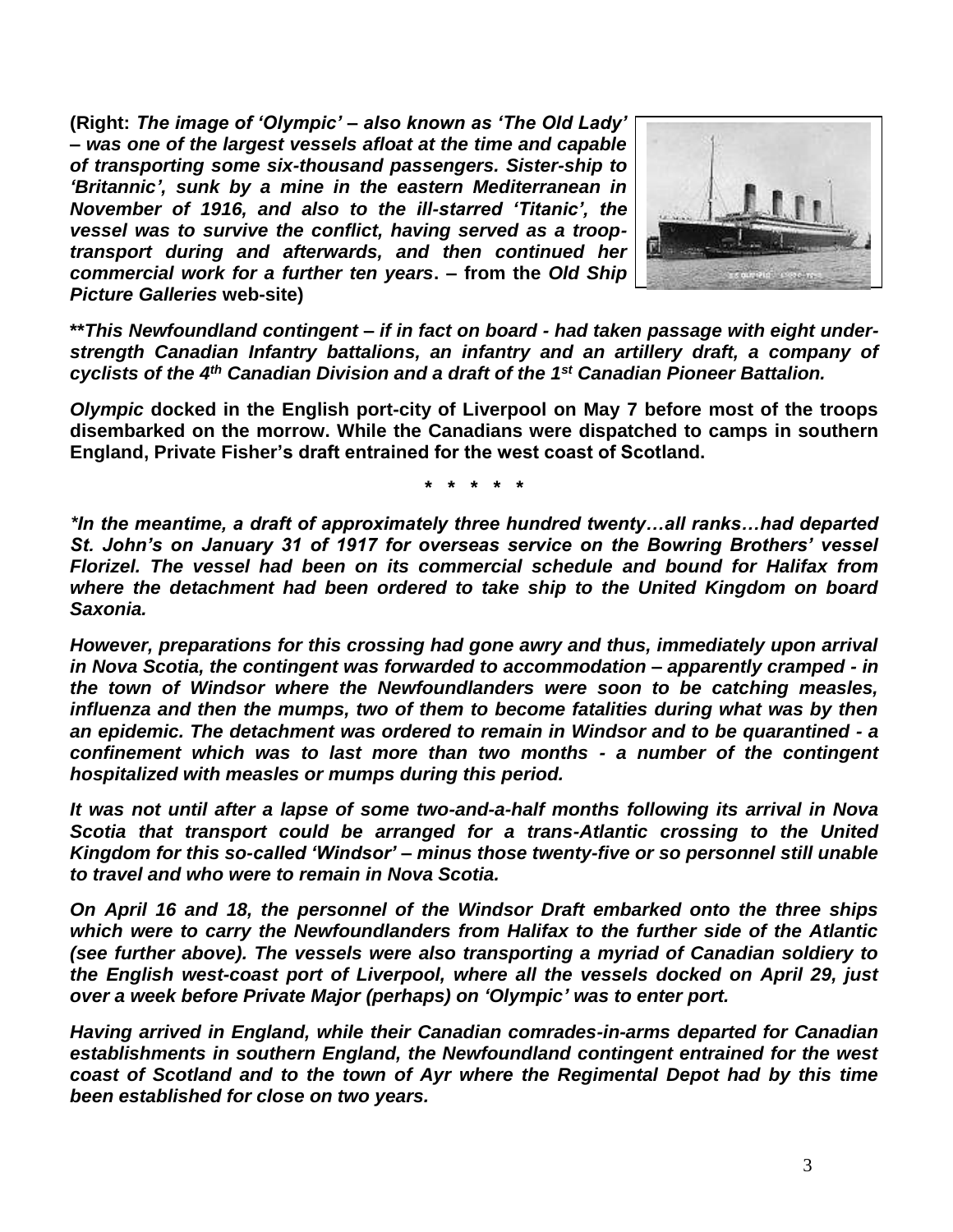**(Right:** *The image of 'Olympic' – also known as 'The Old Lady' – was one of the largest vessels afloat at the time and capable of transporting some six-thousand passengers. Sister-ship to 'Britannic', sunk by a mine in the eastern Mediterranean in November of 1916, and also to the ill-starred 'Titanic', the vessel was to survive the conflict, having served as a trooptransport during and afterwards, and then continued her commercial work for a further ten years***. – from the** *Old Ship Picture Galleries* **web-site)**



**\*\****This Newfoundland contingent – if in fact on board - had taken passage with eight understrength Canadian Infantry battalions, an infantry and an artillery draft, a company of cyclists of the 4th Canadian Division and a draft of the 1st Canadian Pioneer Battalion.*

*Olympic* **docked in the English port-city of Liverpool on May 7 before most of the troops disembarked on the morrow. While the Canadians were dispatched to camps in southern England, Private Fisher's draft entrained for the west coast of Scotland.** 

**\* \* \* \* \***

*\*In the meantime, a draft of approximately three hundred twenty…all ranks…had departed St. John's on January 31 of 1917 for overseas service on the Bowring Brothers' vessel Florizel. The vessel had been on its commercial schedule and bound for Halifax from where the detachment had been ordered to take ship to the United Kingdom on board Saxonia.* 

*However, preparations for this crossing had gone awry and thus, immediately upon arrival in Nova Scotia, the contingent was forwarded to accommodation – apparently cramped - in the town of Windsor where the Newfoundlanders were soon to be catching measles, influenza and then the mumps, two of them to become fatalities during what was by then an epidemic. The detachment was ordered to remain in Windsor and to be quarantined - a confinement which was to last more than two months - a number of the contingent hospitalized with measles or mumps during this period.* 

*It was not until after a lapse of some two-and-a-half months following its arrival in Nova Scotia that transport could be arranged for a trans-Atlantic crossing to the United Kingdom for this so-called 'Windsor' – minus those twenty-five or so personnel still unable to travel and who were to remain in Nova Scotia.* 

*On April 16 and 18, the personnel of the Windsor Draft embarked onto the three ships which were to carry the Newfoundlanders from Halifax to the further side of the Atlantic (see further above). The vessels were also transporting a myriad of Canadian soldiery to the English west-coast port of Liverpool, where all the vessels docked on April 29, just over a week before Private Major (perhaps) on 'Olympic' was to enter port.*

*Having arrived in England, while their Canadian comrades-in-arms departed for Canadian establishments in southern England, the Newfoundland contingent entrained for the west coast of Scotland and to the town of Ayr where the Regimental Depot had by this time been established for close on two years.*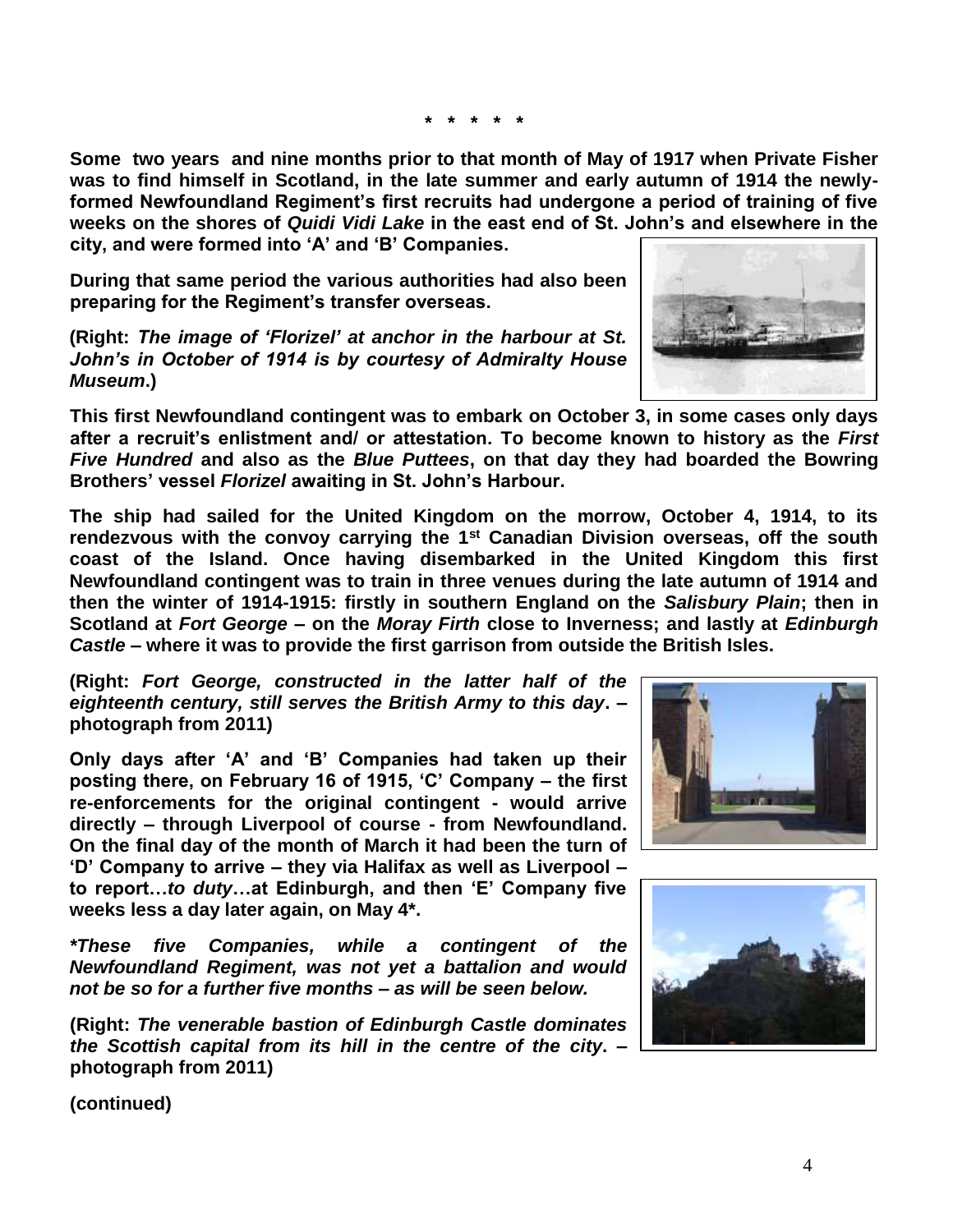**\* \* \* \* \***

**Some two years and nine months prior to that month of May of 1917 when Private Fisher was to find himself in Scotland, in the late summer and early autumn of 1914 the newlyformed Newfoundland Regiment's first recruits had undergone a period of training of five weeks on the shores of** *Quidi Vidi Lake* **in the east end of St. John's and elsewhere in the city, and were formed into 'A' and 'B' Companies.**

**During that same period the various authorities had also been preparing for the Regiment's transfer overseas.**

**(Right:** *The image of 'Florizel' at anchor in the harbour at St. John's in October of 1914 is by courtesy of Admiralty House Museum***.)**

**This first Newfoundland contingent was to embark on October 3, in some cases only days after a recruit's enlistment and/ or attestation. To become known to history as the** *First Five Hundred* **and also as the** *Blue Puttees***, on that day they had boarded the Bowring Brothers' vessel** *Florizel* **awaiting in St. John's Harbour.**

**The ship had sailed for the United Kingdom on the morrow, October 4, 1914, to its rendezvous with the convoy carrying the 1st Canadian Division overseas, off the south coast of the Island. Once having disembarked in the United Kingdom this first Newfoundland contingent was to train in three venues during the late autumn of 1914 and then the winter of 1914-1915: firstly in southern England on the** *Salisbury Plain***; then in Scotland at** *Fort George* **– on the** *Moray Firth* **close to Inverness; and lastly at** *Edinburgh Castle* **– where it was to provide the first garrison from outside the British Isles.** 

**(Right:** *Fort George, constructed in the latter half of the eighteenth century, still serves the British Army to this day***. – photograph from 2011)**

**Only days after 'A' and 'B' Companies had taken up their posting there, on February 16 of 1915, 'C' Company – the first re-enforcements for the original contingent - would arrive directly – through Liverpool of course - from Newfoundland. On the final day of the month of March it had been the turn of 'D' Company to arrive – they via Halifax as well as Liverpool – to report…***to duty***…at Edinburgh, and then 'E' Company five weeks less a day later again, on May 4\*.**

*\*These five Companies, while a contingent of the Newfoundland Regiment, was not yet a battalion and would not be so for a further five months – as will be seen below.*

**(Right:** *The venerable bastion of Edinburgh Castle dominates the Scottish capital from its hill in the centre of the city***. – photograph from 2011)**





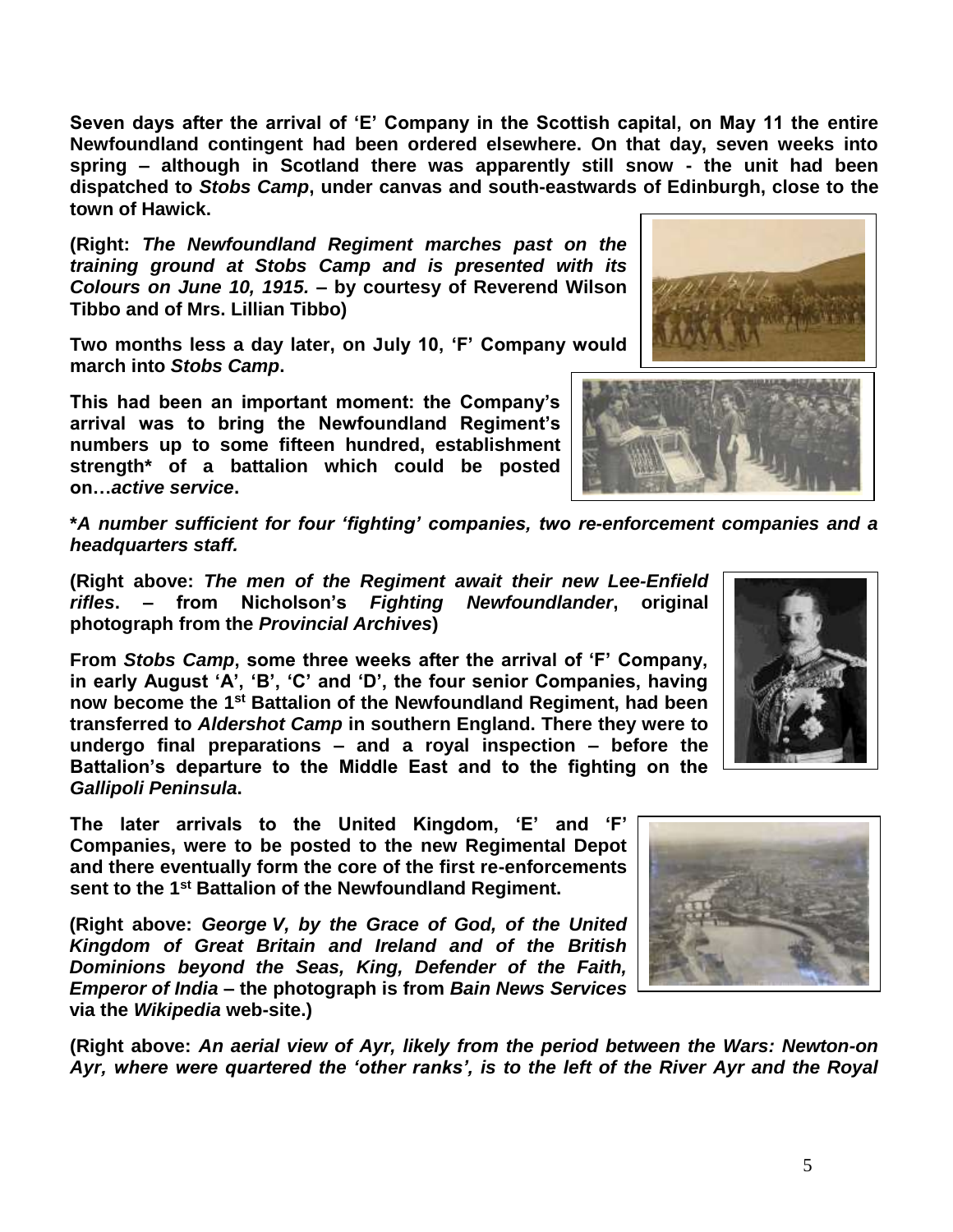5

**Seven days after the arrival of 'E' Company in the Scottish capital, on May 11 the entire Newfoundland contingent had been ordered elsewhere. On that day, seven weeks into spring – although in Scotland there was apparently still snow - the unit had been dispatched to** *Stobs Camp***, under canvas and south-eastwards of Edinburgh, close to the town of Hawick.**

**(Right:** *The Newfoundland Regiment marches past on the training ground at Stobs Camp and is presented with its Colours on June 10, 1915.* **– by courtesy of Reverend Wilson Tibbo and of Mrs. Lillian Tibbo)**

**Two months less a day later, on July 10, 'F' Company would march into** *Stobs Camp***.** 

**This had been an important moment: the Company's arrival was to bring the Newfoundland Regiment's numbers up to some fifteen hundred, establishment strength\* of a battalion which could be posted on…***active service***.**

**\****A number sufficient for four 'fighting' companies, two re-enforcement companies and a headquarters staff.*

**(Right above:** *The men of the Regiment await their new Lee-Enfield rifles***. – from Nicholson's** *Fighting Newfoundlander***, original photograph from the** *Provincial Archives***)**

**From** *Stobs Camp***, some three weeks after the arrival of 'F' Company, in early August 'A', 'B', 'C' and 'D', the four senior Companies, having now become the 1st Battalion of the Newfoundland Regiment, had been transferred to** *Aldershot Camp* **in southern England. There they were to undergo final preparations – and a royal inspection – before the Battalion's departure to the Middle East and to the fighting on the**  *Gallipoli Peninsula***.**

**The later arrivals to the United Kingdom, 'E' and 'F' Companies, were to be posted to the new Regimental Depot and there eventually form the core of the first re-enforcements sent to the 1st Battalion of the Newfoundland Regiment.**

**(Right above:** *George V, by the Grace of God, of the United Kingdom of Great Britain and Ireland and of the British Dominions beyond the Seas, King, Defender of the Faith, Emperor of India* **– the photograph is from** *Bain News Services* **via the** *Wikipedia* **web-site.)**

**(Right above:** *An aerial view of Ayr, likely from the period between the Wars: Newton-on Ayr, where were quartered the 'other ranks', is to the left of the River Ayr and the Royal* 







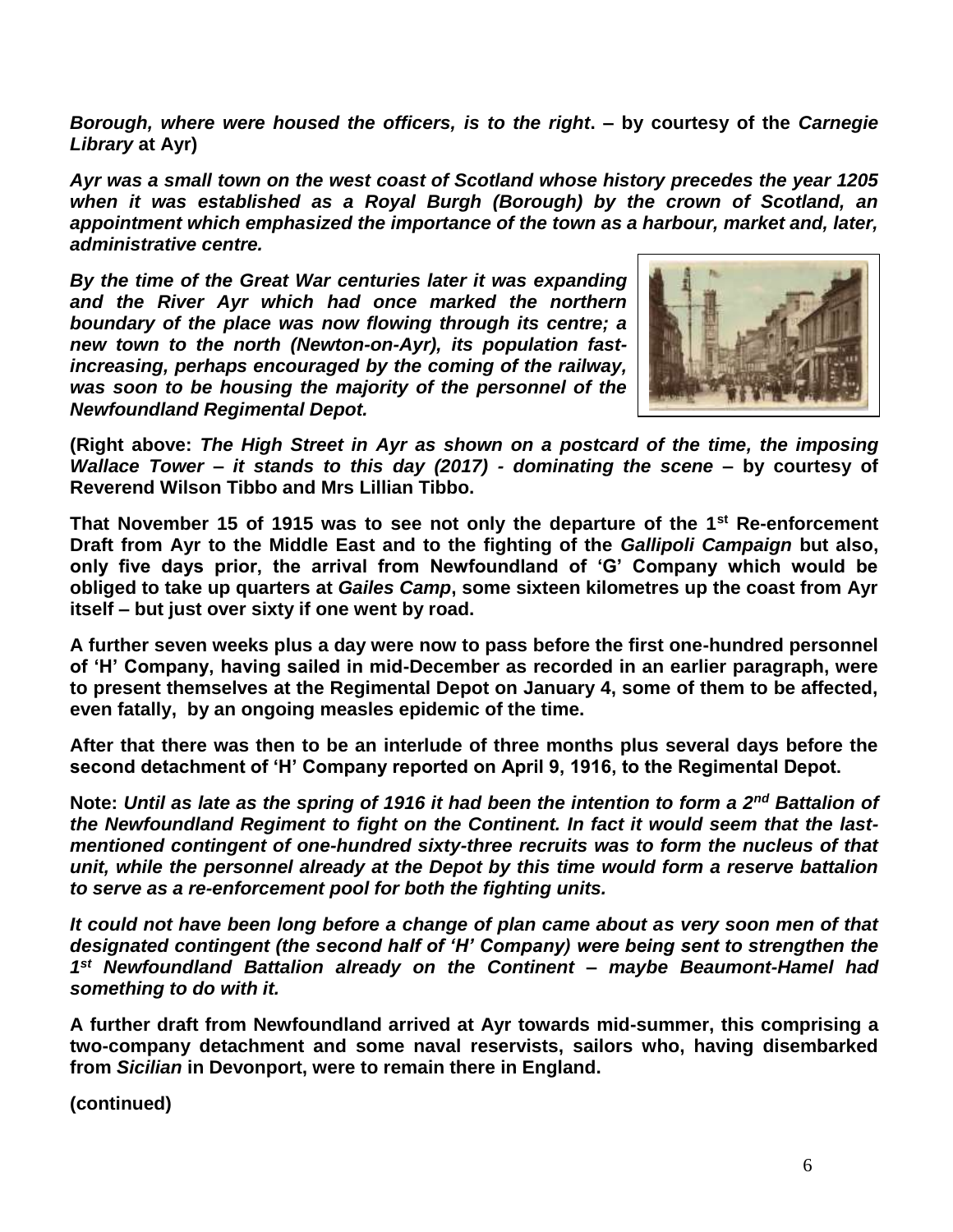*Borough, where were housed the officers, is to the right***. – by courtesy of the** *Carnegie Library* **at Ayr)**

*Ayr was a small town on the west coast of Scotland whose history precedes the year 1205 when it was established as a Royal Burgh (Borough) by the crown of Scotland, an appointment which emphasized the importance of the town as a harbour, market and, later, administrative centre.* 

*By the time of the Great War centuries later it was expanding and the River Ayr which had once marked the northern boundary of the place was now flowing through its centre; a new town to the north (Newton-on-Ayr), its population fastincreasing, perhaps encouraged by the coming of the railway, was soon to be housing the majority of the personnel of the Newfoundland Regimental Depot.* 



**(Right above:** *The High Street in Ayr as shown on a postcard of the time, the imposing Wallace Tower – it stands to this day (2017) - dominating the scene* **– by courtesy of Reverend Wilson Tibbo and Mrs Lillian Tibbo.**

**That November 15 of 1915 was to see not only the departure of the 1st Re-enforcement Draft from Ayr to the Middle East and to the fighting of the** *Gallipoli Campaign* **but also, only five days prior, the arrival from Newfoundland of 'G' Company which would be obliged to take up quarters at** *Gailes Camp***, some sixteen kilometres up the coast from Ayr itself – but just over sixty if one went by road.**

**A further seven weeks plus a day were now to pass before the first one-hundred personnel of 'H' Company, having sailed in mid-December as recorded in an earlier paragraph, were to present themselves at the Regimental Depot on January 4, some of them to be affected, even fatally, by an ongoing measles epidemic of the time.**

**After that there was then to be an interlude of three months plus several days before the second detachment of 'H' Company reported on April 9, 1916, to the Regimental Depot.**

**Note:** *Until as late as the spring of 1916 it had been the intention to form a 2nd Battalion of the Newfoundland Regiment to fight on the Continent. In fact it would seem that the lastmentioned contingent of one-hundred sixty-three recruits was to form the nucleus of that unit, while the personnel already at the Depot by this time would form a reserve battalion to serve as a re-enforcement pool for both the fighting units.*

*It could not have been long before a change of plan came about as very soon men of that designated contingent (the second half of 'H' Company) were being sent to strengthen the 1 st Newfoundland Battalion already on the Continent – maybe Beaumont-Hamel had something to do with it.*

**A further draft from Newfoundland arrived at Ayr towards mid-summer, this comprising a two-company detachment and some naval reservists, sailors who, having disembarked from** *Sicilian* **in Devonport, were to remain there in England.**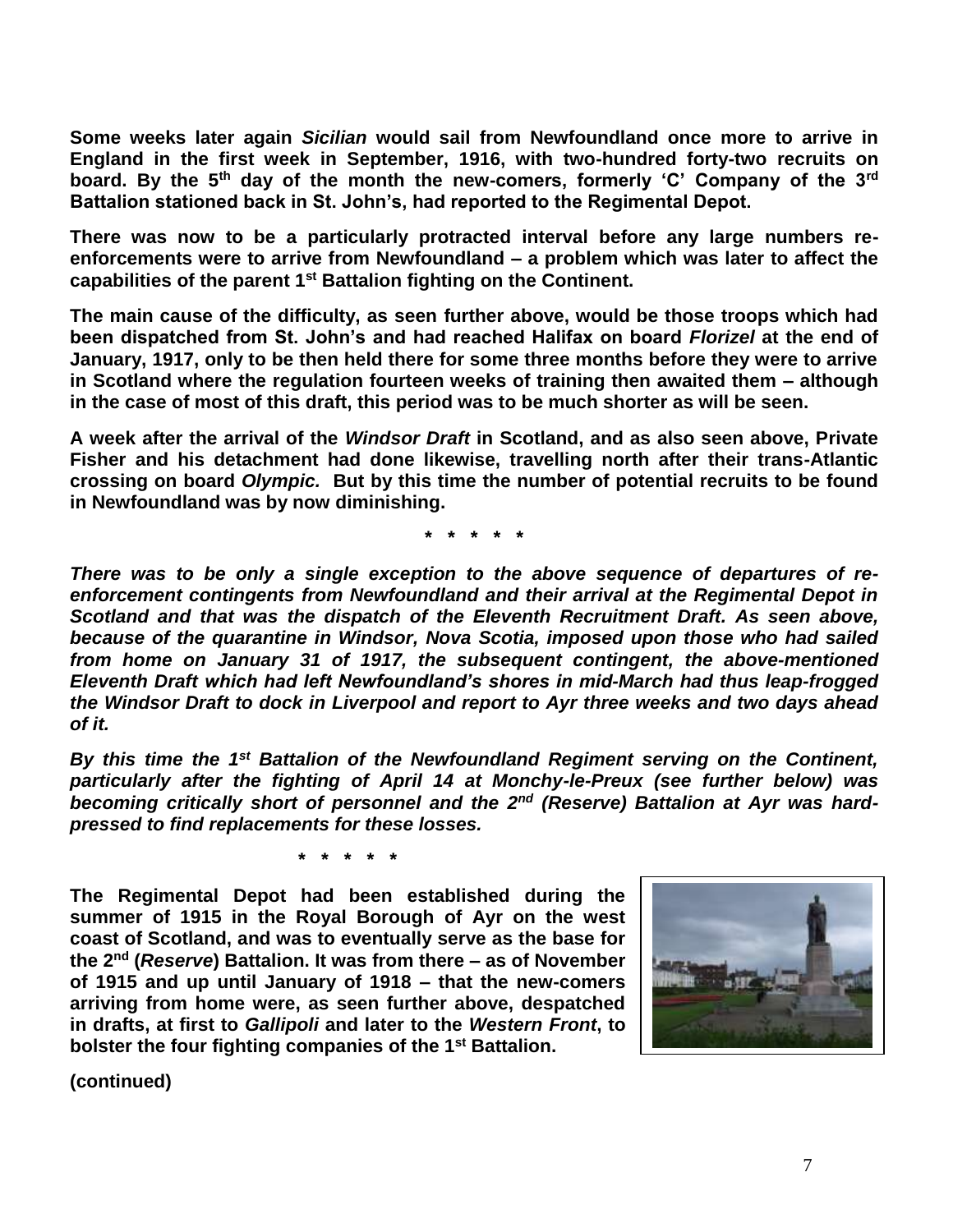**Some weeks later again** *Sicilian* **would sail from Newfoundland once more to arrive in England in the first week in September, 1916, with two-hundred forty-two recruits on board. By the 5th day of the month the new-comers, formerly 'C' Company of the 3rd Battalion stationed back in St. John's, had reported to the Regimental Depot.**

**There was now to be a particularly protracted interval before any large numbers reenforcements were to arrive from Newfoundland – a problem which was later to affect the capabilities of the parent 1st Battalion fighting on the Continent.** 

**The main cause of the difficulty, as seen further above, would be those troops which had been dispatched from St. John's and had reached Halifax on board** *Florizel* **at the end of January, 1917, only to be then held there for some three months before they were to arrive in Scotland where the regulation fourteen weeks of training then awaited them – although in the case of most of this draft, this period was to be much shorter as will be seen.**

**A week after the arrival of the** *Windsor Draft* **in Scotland, and as also seen above, Private Fisher and his detachment had done likewise, travelling north after their trans-Atlantic crossing on board** *Olympic.* **But by this time the number of potential recruits to be found in Newfoundland was by now diminishing.**

**\* \* \* \* \***

*There was to be only a single exception to the above sequence of departures of reenforcement contingents from Newfoundland and their arrival at the Regimental Depot in Scotland and that was the dispatch of the Eleventh Recruitment Draft. As seen above, because of the quarantine in Windsor, Nova Scotia, imposed upon those who had sailed from home on January 31 of 1917, the subsequent contingent, the above-mentioned Eleventh Draft which had left Newfoundland's shores in mid-March had thus leap-frogged the Windsor Draft to dock in Liverpool and report to Ayr three weeks and two days ahead of it.*

*By this time the 1st Battalion of the Newfoundland Regiment serving on the Continent, particularly after the fighting of April 14 at Monchy-le-Preux (see further below) was becoming critically short of personnel and the 2nd (Reserve) Battalion at Ayr was hardpressed to find replacements for these losses.*

**\* \* \* \* \***

**The Regimental Depot had been established during the summer of 1915 in the Royal Borough of Ayr on the west coast of Scotland, and was to eventually serve as the base for the 2nd (***Reserve***) Battalion. It was from there – as of November of 1915 and up until January of 1918 – that the new-comers arriving from home were, as seen further above, despatched in drafts, at first to** *Gallipoli* **and later to the** *Western Front***, to bolster the four fighting companies of the 1st Battalion.** 

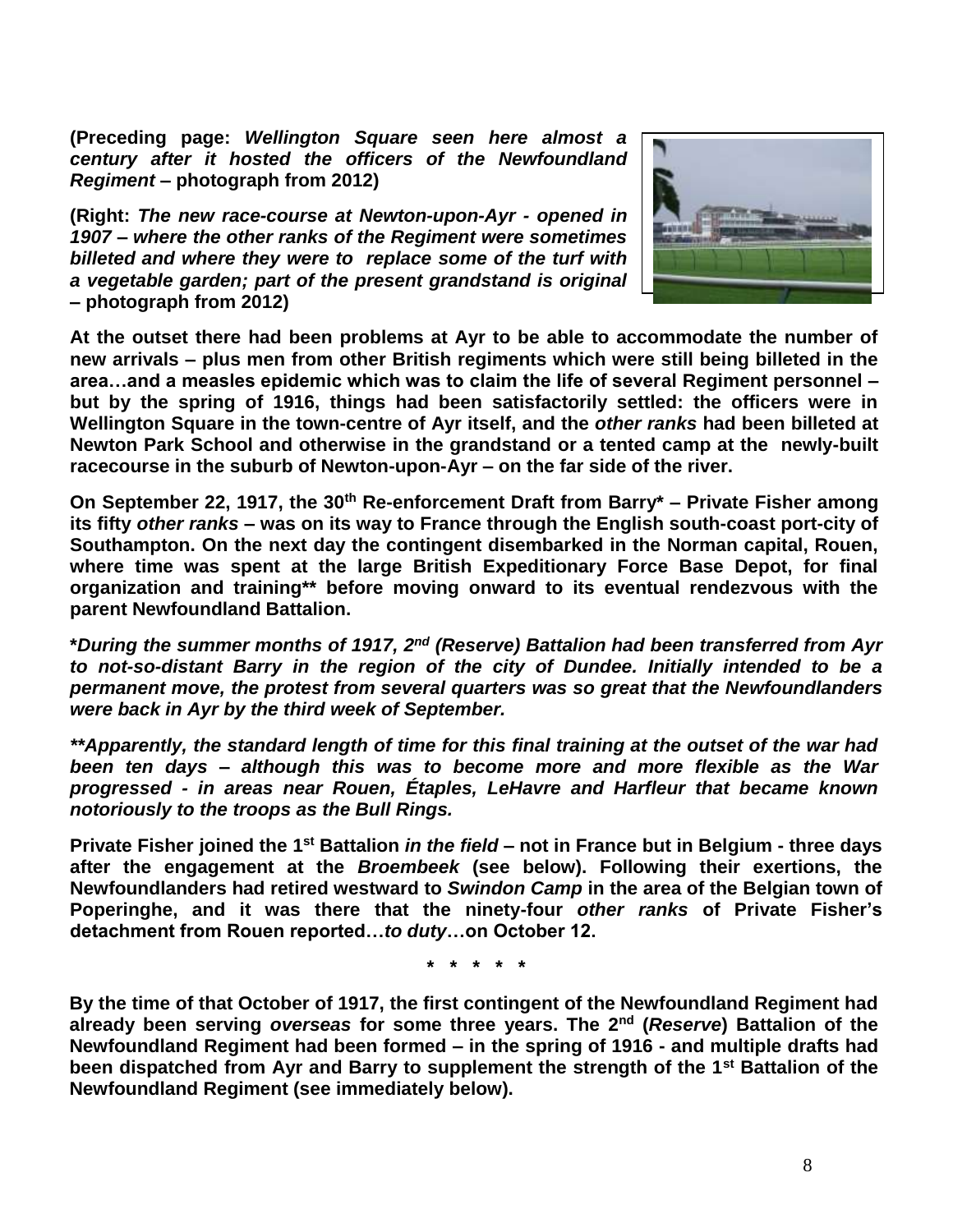**(Preceding page:** *Wellington Square seen here almost a century after it hosted the officers of the Newfoundland Regiment* **– photograph from 2012)**

**(Right:** *The new race-course at Newton-upon-Ayr - opened in 1907 – where the other ranks of the Regiment were sometimes billeted and where they were to replace some of the turf with a vegetable garden; part of the present grandstand is original* **– photograph from 2012)**



**At the outset there had been problems at Ayr to be able to accommodate the number of new arrivals – plus men from other British regiments which were still being billeted in the area…and a measles epidemic which was to claim the life of several Regiment personnel – but by the spring of 1916, things had been satisfactorily settled: the officers were in Wellington Square in the town-centre of Ayr itself, and the** *other ranks* **had been billeted at Newton Park School and otherwise in the grandstand or a tented camp at the newly-built racecourse in the suburb of Newton-upon-Ayr – on the far side of the river.** 

**On September 22, 1917, the 30th Re-enforcement Draft from Barry\* – Private Fisher among its fifty** *other ranks* **– was on its way to France through the English south-coast port-city of Southampton. On the next day the contingent disembarked in the Norman capital, Rouen, where time was spent at the large British Expeditionary Force Base Depot, for final organization and training\*\* before moving onward to its eventual rendezvous with the parent Newfoundland Battalion.**

**\****During the summer months of 1917, 2nd (Reserve) Battalion had been transferred from Ayr to not-so-distant Barry in the region of the city of Dundee. Initially intended to be a permanent move, the protest from several quarters was so great that the Newfoundlanders were back in Ayr by the third week of September.*

*\*\*Apparently, the standard length of time for this final training at the outset of the war had been ten days – although this was to become more and more flexible as the War progressed - in areas near Rouen, Étaples, LeHavre and Harfleur that became known notoriously to the troops as the Bull Rings.*

**Private Fisher joined the 1st Battalion** *in the field* **– not in France but in Belgium - three days after the engagement at the** *Broembeek* **(see below). Following their exertions, the Newfoundlanders had retired westward to** *Swindon Camp* **in the area of the Belgian town of Poperinghe, and it was there that the ninety-four** *other ranks* **of Private Fisher's detachment from Rouen reported…***to duty***…on October 12.**

**\* \* \* \* \***

**By the time of that October of 1917, the first contingent of the Newfoundland Regiment had already been serving** *overseas* **for some three years. The 2nd (***Reserve***) Battalion of the Newfoundland Regiment had been formed – in the spring of 1916 - and multiple drafts had been dispatched from Ayr and Barry to supplement the strength of the 1st Battalion of the Newfoundland Regiment (see immediately below).**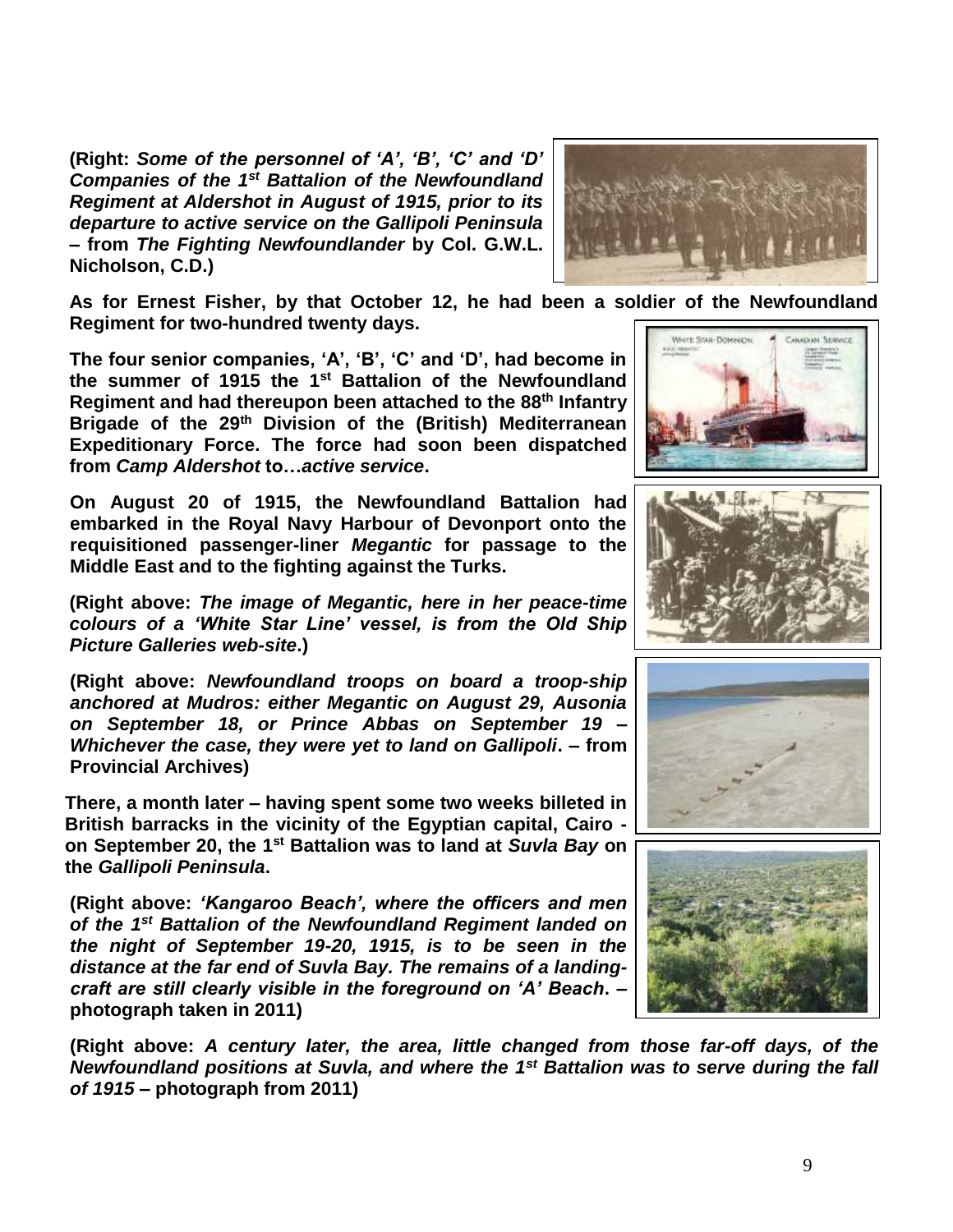**(Right:** *Some of the personnel of 'A', 'B', 'C' and 'D' Companies of the 1st Battalion of the Newfoundland Regiment at Aldershot in August of 1915, prior to its departure to active service on the Gallipoli Peninsula* **– from** *The Fighting Newfoundlander* **by Col. G.W.L. Nicholson, C.D.)**



**As for Ernest Fisher, by that October 12, he had been a soldier of the Newfoundland Regiment for two-hundred twenty days.**

**The four senior companies, 'A', 'B', 'C' and 'D', had become in the summer of 1915 the 1st Battalion of the Newfoundland Regiment and had thereupon been attached to the 88th Infantry Brigade of the 29th Division of the (British) Mediterranean Expeditionary Force. The force had soon been dispatched from** *Camp Aldershot* **to…***active service***.**

**On August 20 of 1915, the Newfoundland Battalion had embarked in the Royal Navy Harbour of Devonport onto the requisitioned passenger-liner** *Megantic* **for passage to the Middle East and to the fighting against the Turks.**

**(Right above:** *The image of Megantic, here in her peace-time colours of a 'White Star Line' vessel, is from the Old Ship Picture Galleries web-site***.)**

**(Right above:** *Newfoundland troops on board a troop-ship anchored at Mudros: either Megantic on August 29, Ausonia on September 18, or Prince Abbas on September 19 – Whichever the case, they were yet to land on Gallipoli***. – from Provincial Archives)**

**There, a month later – having spent some two weeks billeted in British barracks in the vicinity of the Egyptian capital, Cairo on September 20, the 1st Battalion was to land at** *Suvla Bay* **on the** *Gallipoli Peninsula***.**

**(Right above:** *'Kangaroo Beach', where the officers and men of the 1st Battalion of the Newfoundland Regiment landed on the night of September 19-20, 1915, is to be seen in the distance at the far end of Suvla Bay. The remains of a landingcraft are still clearly visible in the foreground on 'A' Beach***. – photograph taken in 2011)**

**(Right above:** *A century later, the area, little changed from those far-off days, of the Newfoundland positions at Suvla, and where the 1st Battalion was to serve during the fall of 1915* **– photograph from 2011)**







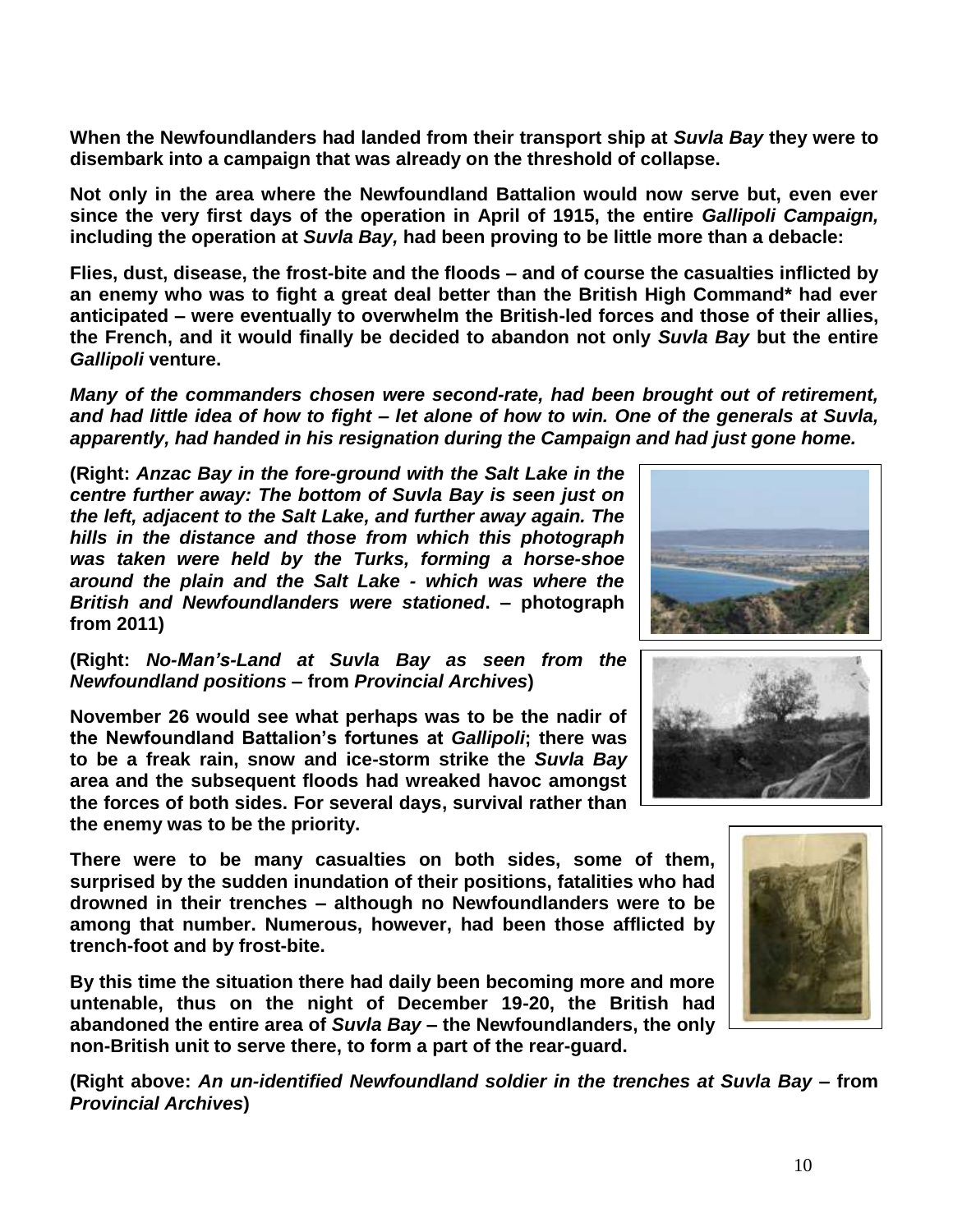**When the Newfoundlanders had landed from their transport ship at** *Suvla Bay* **they were to disembark into a campaign that was already on the threshold of collapse.**

**Not only in the area where the Newfoundland Battalion would now serve but, even ever since the very first days of the operation in April of 1915, the entire** *Gallipoli Campaign,* **including the operation at** *Suvla Bay,* **had been proving to be little more than a debacle:** 

**Flies, dust, disease, the frost-bite and the floods – and of course the casualties inflicted by an enemy who was to fight a great deal better than the British High Command\* had ever anticipated – were eventually to overwhelm the British-led forces and those of their allies, the French, and it would finally be decided to abandon not only** *Suvla Bay* **but the entire**  *Gallipoli* **venture.**

*Many of the commanders chosen were second-rate, had been brought out of retirement, and had little idea of how to fight – let alone of how to win. One of the generals at Suvla, apparently, had handed in his resignation during the Campaign and had just gone home.* 

**(Right:** *Anzac Bay in the fore-ground with the Salt Lake in the centre further away: The bottom of Suvla Bay is seen just on the left, adjacent to the Salt Lake, and further away again. The hills in the distance and those from which this photograph was taken were held by the Turks, forming a horse-shoe around the plain and the Salt Lake - which was where the British and Newfoundlanders were stationed***. – photograph from 2011)**

**(Right:** *No-Man's-Land at Suvla Bay as seen from the Newfoundland positions* **– from** *Provincial Archives***)**

**November 26 would see what perhaps was to be the nadir of the Newfoundland Battalion's fortunes at** *Gallipoli***; there was to be a freak rain, snow and ice-storm strike the** *Suvla Bay* **area and the subsequent floods had wreaked havoc amongst the forces of both sides. For several days, survival rather than the enemy was to be the priority.**

**There were to be many casualties on both sides, some of them, surprised by the sudden inundation of their positions, fatalities who had drowned in their trenches – although no Newfoundlanders were to be among that number. Numerous, however, had been those afflicted by trench-foot and by frost-bite.**

**By this time the situation there had daily been becoming more and more untenable, thus on the night of December 19-20, the British had abandoned the entire area of** *Suvla Bay* **– the Newfoundlanders, the only non-British unit to serve there, to form a part of the rear-guard.** 

**(Right above:** *An un-identified Newfoundland soldier in the trenches at Suvla Bay –* **from**  *Provincial Archives***)**





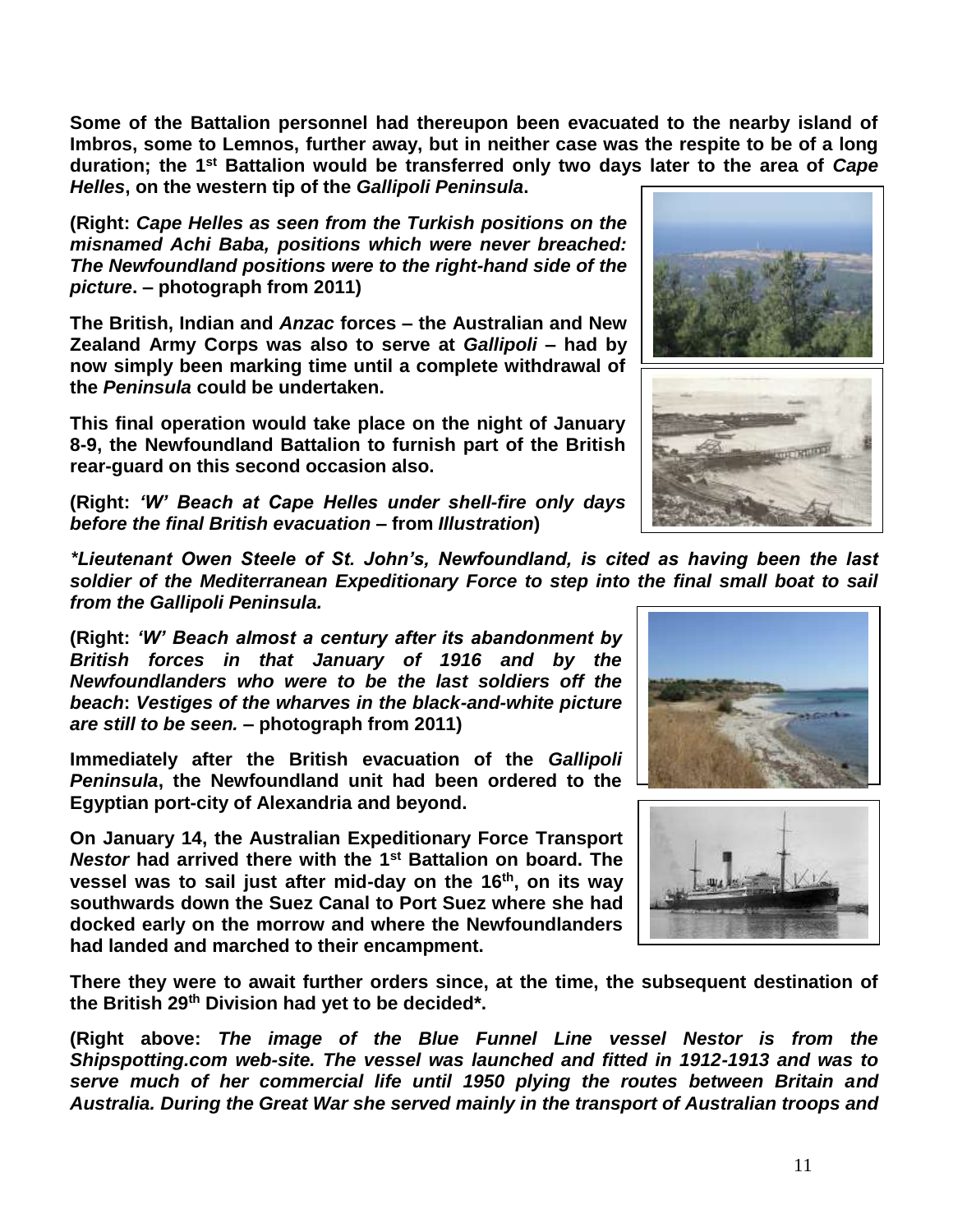**Some of the Battalion personnel had thereupon been evacuated to the nearby island of Imbros, some to Lemnos, further away, but in neither case was the respite to be of a long duration; the 1st Battalion would be transferred only two days later to the area of** *Cape Helles***, on the western tip of the** *Gallipoli Peninsula***.**

**(Right:** *Cape Helles as seen from the Turkish positions on the misnamed Achi Baba, positions which were never breached: The Newfoundland positions were to the right-hand side of the picture***. – photograph from 2011)**

**The British, Indian and** *Anzac* **forces – the Australian and New Zealand Army Corps was also to serve at** *Gallipoli* **– had by now simply been marking time until a complete withdrawal of the** *Peninsula* **could be undertaken.** 

**This final operation would take place on the night of January 8-9, the Newfoundland Battalion to furnish part of the British rear-guard on this second occasion also.**

**(Right:** *'W' Beach at Cape Helles under shell-fire only days before the final British evacuation* **– from** *Illustration***)**

*\*Lieutenant Owen Steele of St. John's, Newfoundland, is cited as having been the last soldier of the Mediterranean Expeditionary Force to step into the final small boat to sail from the Gallipoli Peninsula.*

**(Right:** *'W' Beach almost a century after its abandonment by British forces in that January of 1916 and by the Newfoundlanders who were to be the last soldiers off the beach***:** *Vestiges of the wharves in the black-and-white picture are still to be seen.* **– photograph from 2011)**

**Immediately after the British evacuation of the** *Gallipoli Peninsula***, the Newfoundland unit had been ordered to the Egyptian port-city of Alexandria and beyond.** 

**On January 14, the Australian Expeditionary Force Transport**  *Nestor* **had arrived there with the 1st Battalion on board. The vessel was to sail just after mid-day on the 16th, on its way southwards down the Suez Canal to Port Suez where she had docked early on the morrow and where the Newfoundlanders had landed and marched to their encampment.**

**There they were to await further orders since, at the time, the subsequent destination of the British 29th Division had yet to be decided\*.**

**(Right above:** *The image of the Blue Funnel Line vessel Nestor is from the Shipspotting.com web-site. The vessel was launched and fitted in 1912-1913 and was to serve much of her commercial life until 1950 plying the routes between Britain and Australia. During the Great War she served mainly in the transport of Australian troops and* 





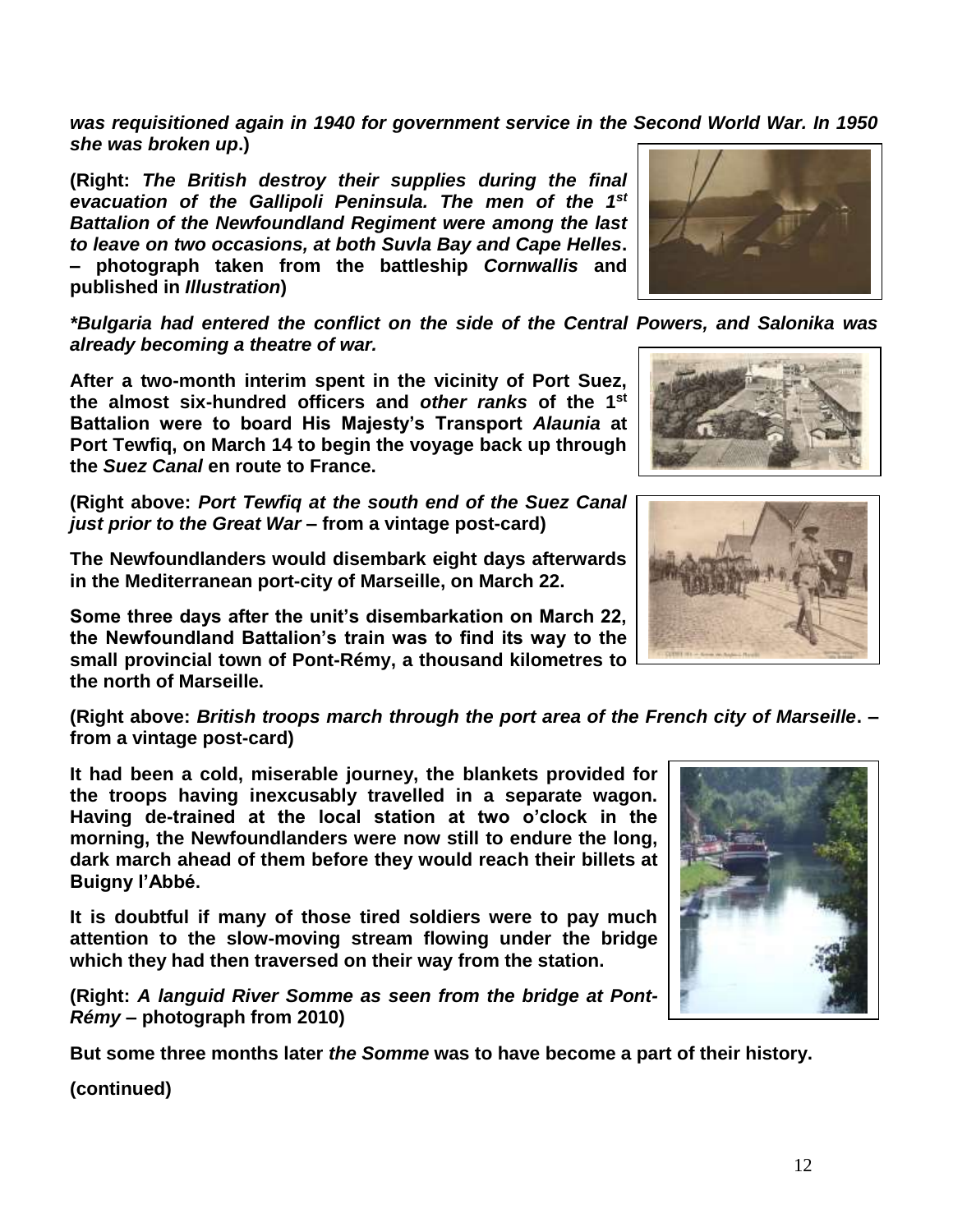*was requisitioned again in 1940 for government service in the Second World War. In 1950 she was broken up***.)**

**(Right:** *The British destroy their supplies during the final evacuation of the Gallipoli Peninsula. The men of the 1st Battalion of the Newfoundland Regiment were among the last to leave on two occasions, at both Suvla Bay and Cape Helles***. – photograph taken from the battleship** *Cornwallis* **and published in** *Illustration***)**

*\*Bulgaria had entered the conflict on the side of the Central Powers, and Salonika was already becoming a theatre of war.*

**After a two-month interim spent in the vicinity of Port Suez, the almost six-hundred officers and** *other ranks* **of the 1 st Battalion were to board His Majesty's Transport** *Alaunia* **at Port Tewfiq, on March 14 to begin the voyage back up through the** *Suez Canal* **en route to France.**

**(Right above:** *Port Tewfiq at the south end of the Suez Canal just prior to the Great War* **– from a vintage post-card)**

**The Newfoundlanders would disembark eight days afterwards in the Mediterranean port-city of Marseille, on March 22.**

**Some three days after the unit's disembarkation on March 22, the Newfoundland Battalion's train was to find its way to the small provincial town of Pont-Rémy, a thousand kilometres to the north of Marseille.**

**(Right above:** *British troops march through the port area of the French city of Marseille***. – from a vintage post-card)**

**It had been a cold, miserable journey, the blankets provided for the troops having inexcusably travelled in a separate wagon. Having de-trained at the local station at two o'clock in the morning, the Newfoundlanders were now still to endure the long, dark march ahead of them before they would reach their billets at Buigny l'Abbé.**

**It is doubtful if many of those tired soldiers were to pay much attention to the slow-moving stream flowing under the bridge which they had then traversed on their way from the station.**

**(Right:** *A languid River Somme as seen from the bridge at Pont-Rémy* **– photograph from 2010)**

**But some three months later** *the Somme* **was to have become a part of their history.**









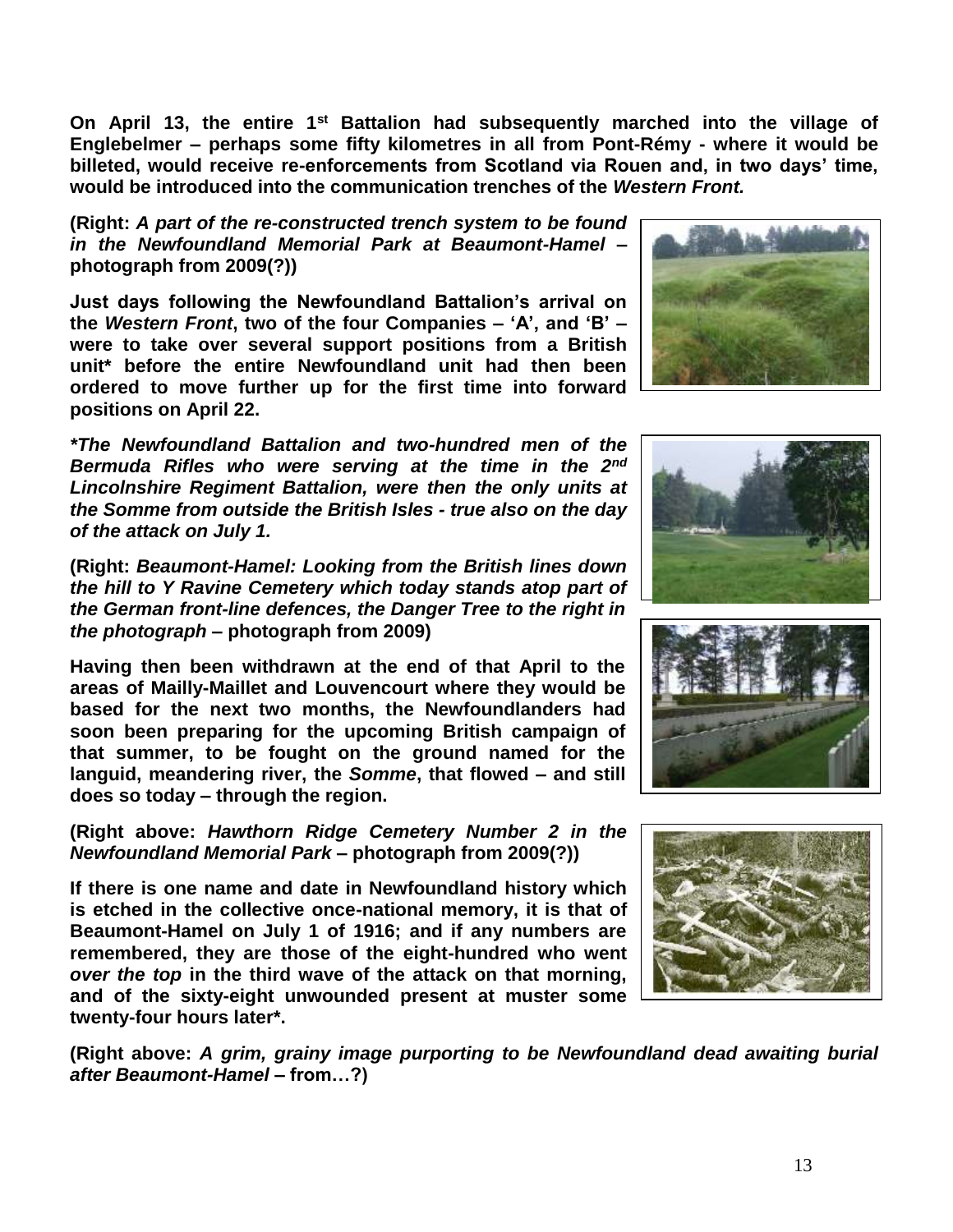**On April 13, the entire 1st Battalion had subsequently marched into the village of Englebelmer – perhaps some fifty kilometres in all from Pont-Rémy - where it would be billeted, would receive re-enforcements from Scotland via Rouen and, in two days' time, would be introduced into the communication trenches of the** *Western Front.*

**(Right:** *A part of the re-constructed trench system to be found in the Newfoundland Memorial Park at Beaumont-Hamel* **– photograph from 2009(?))**

**Just days following the Newfoundland Battalion's arrival on the** *Western Front***, two of the four Companies – 'A', and 'B' – were to take over several support positions from a British unit\* before the entire Newfoundland unit had then been ordered to move further up for the first time into forward positions on April 22.**

*\*The Newfoundland Battalion and two-hundred men of the Bermuda Rifles who were serving at the time in the 2nd Lincolnshire Regiment Battalion, were then the only units at the Somme from outside the British Isles - true also on the day of the attack on July 1.*

**(Right:** *Beaumont-Hamel: Looking from the British lines down the hill to Y Ravine Cemetery which today stands atop part of the German front-line defences, the Danger Tree to the right in the photograph* **– photograph from 2009)**

**Having then been withdrawn at the end of that April to the areas of Mailly-Maillet and Louvencourt where they would be based for the next two months, the Newfoundlanders had soon been preparing for the upcoming British campaign of that summer, to be fought on the ground named for the languid, meandering river, the** *Somme***, that flowed – and still does so today – through the region.**

**(Right above:** *Hawthorn Ridge Cemetery Number 2 in the Newfoundland Memorial Park* **– photograph from 2009(?))**

**If there is one name and date in Newfoundland history which is etched in the collective once-national memory, it is that of Beaumont-Hamel on July 1 of 1916; and if any numbers are remembered, they are those of the eight-hundred who went**  *over the top* **in the third wave of the attack on that morning, and of the sixty-eight unwounded present at muster some twenty-four hours later\*.**

**(Right above:** *A grim, grainy image purporting to be Newfoundland dead awaiting burial after Beaumont-Hamel –* **from…?)**







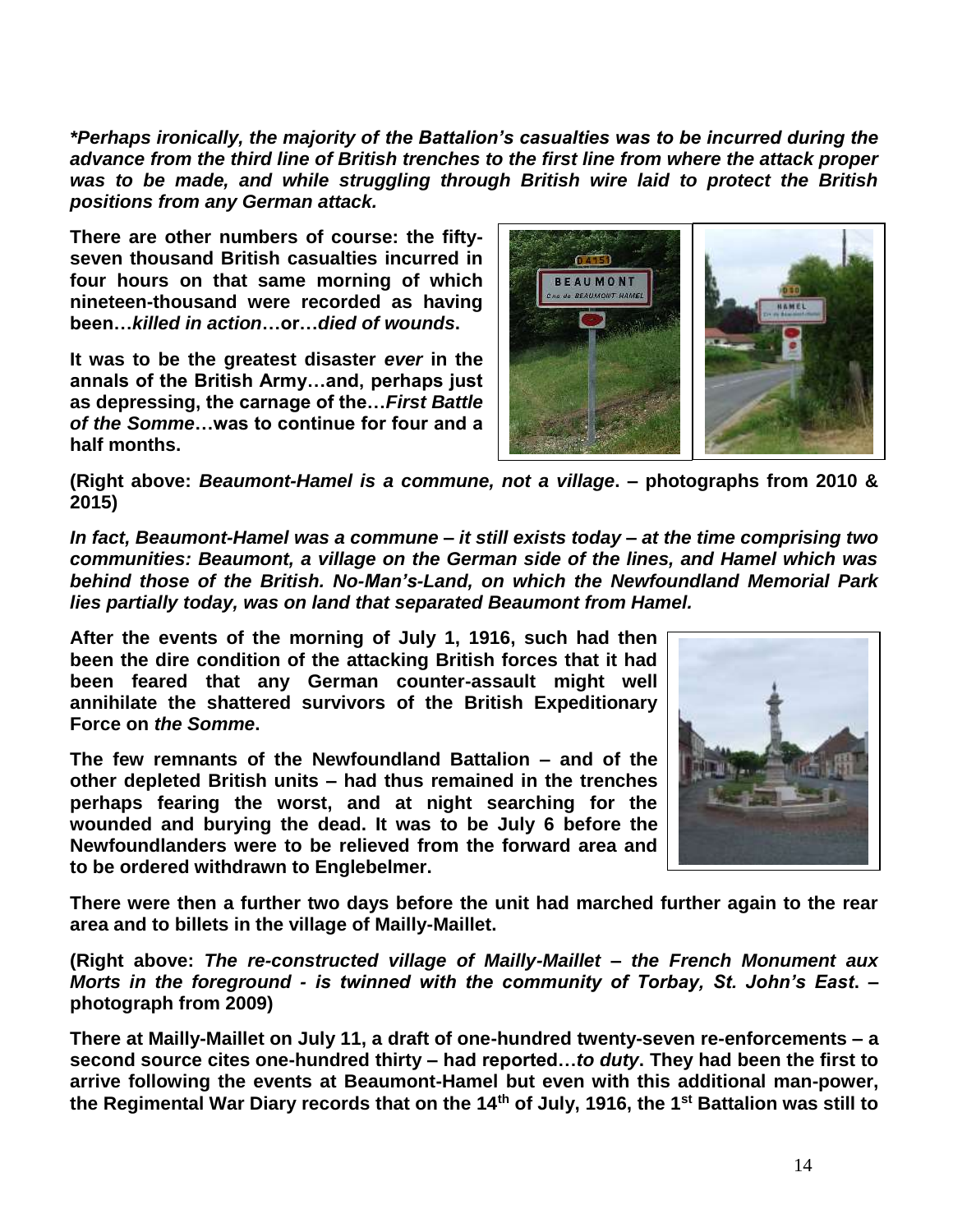*\*Perhaps ironically, the majority of the Battalion's casualties was to be incurred during the advance from the third line of British trenches to the first line from where the attack proper was to be made, and while struggling through British wire laid to protect the British positions from any German attack.*

**There are other numbers of course: the fiftyseven thousand British casualties incurred in four hours on that same morning of which nineteen-thousand were recorded as having been…***killed in action***…or…***died of wounds***.** 

**It was to be the greatest disaster** *ever* **in the annals of the British Army…and, perhaps just as depressing, the carnage of the…***First Battle of the Somme***…was to continue for four and a half months.**



**(Right above:** *Beaumont-Hamel is a commune, not a village***. – photographs from 2010 & 2015)**

*In fact, Beaumont-Hamel was a commune – it still exists today – at the time comprising two communities: Beaumont, a village on the German side of the lines, and Hamel which was behind those of the British. No-Man's-Land, on which the Newfoundland Memorial Park lies partially today, was on land that separated Beaumont from Hamel.*

**After the events of the morning of July 1, 1916, such had then been the dire condition of the attacking British forces that it had been feared that any German counter-assault might well annihilate the shattered survivors of the British Expeditionary Force on** *the Somme***.** 

**The few remnants of the Newfoundland Battalion – and of the other depleted British units – had thus remained in the trenches perhaps fearing the worst, and at night searching for the wounded and burying the dead. It was to be July 6 before the Newfoundlanders were to be relieved from the forward area and to be ordered withdrawn to Englebelmer.** 



**There were then a further two days before the unit had marched further again to the rear area and to billets in the village of Mailly-Maillet.**

**(Right above:** *The re-constructed village of Mailly-Maillet – the French Monument aux Morts in the foreground - is twinned with the community of Torbay, St. John's East***. – photograph from 2009)**

**There at Mailly-Maillet on July 11, a draft of one-hundred twenty-seven re-enforcements – a second source cites one-hundred thirty – had reported…***to duty***. They had been the first to arrive following the events at Beaumont-Hamel but even with this additional man-power, the Regimental War Diary records that on the 14th of July, 1916, the 1st Battalion was still to**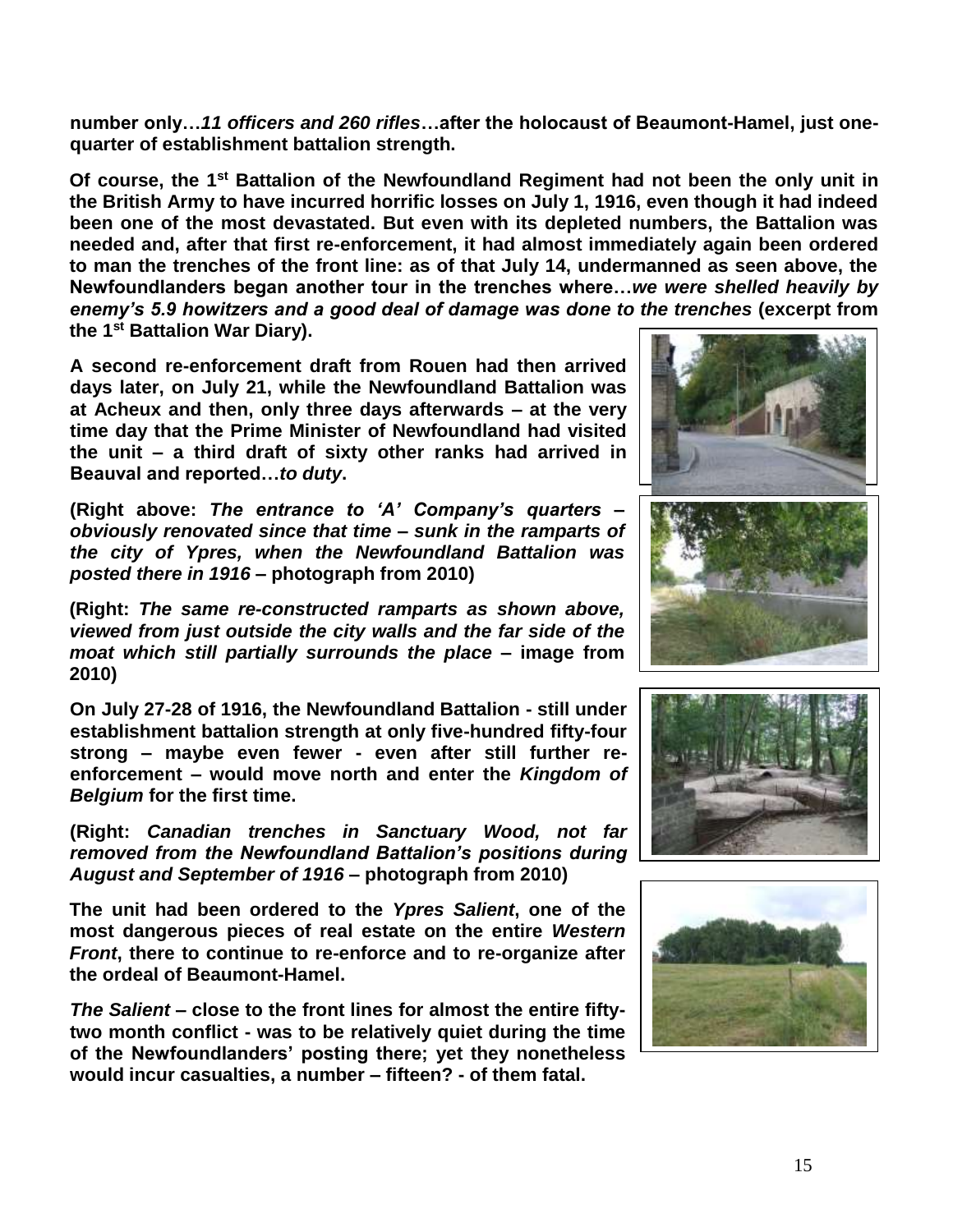**number only…***11 officers and 260 rifles***…after the holocaust of Beaumont-Hamel, just onequarter of establishment battalion strength.**

**Of course, the 1st Battalion of the Newfoundland Regiment had not been the only unit in the British Army to have incurred horrific losses on July 1, 1916, even though it had indeed been one of the most devastated. But even with its depleted numbers, the Battalion was needed and, after that first re-enforcement, it had almost immediately again been ordered to man the trenches of the front line: as of that July 14, undermanned as seen above, the Newfoundlanders began another tour in the trenches where…***we were shelled heavily by enemy's 5.9 howitzers and a good deal of damage was done to the trenches* **(excerpt from the 1st Battalion War Diary).**

**A second re-enforcement draft from Rouen had then arrived days later, on July 21, while the Newfoundland Battalion was at Acheux and then, only three days afterwards – at the very time day that the Prime Minister of Newfoundland had visited the unit – a third draft of sixty other ranks had arrived in Beauval and reported…***to duty***.** 

**(Right above:** *The entrance to 'A' Company's quarters – obviously renovated since that time – sunk in the ramparts of the city of Ypres, when the Newfoundland Battalion was posted there in 1916 –* **photograph from 2010)**

**(Right:** *The same re-constructed ramparts as shown above, viewed from just outside the city walls and the far side of the moat which still partially surrounds the place* **– image from 2010)**

**On July 27-28 of 1916, the Newfoundland Battalion - still under establishment battalion strength at only five-hundred fifty-four strong – maybe even fewer - even after still further reenforcement – would move north and enter the** *Kingdom of Belgium* **for the first time.** 

**(Right:** *Canadian trenches in Sanctuary Wood, not far removed from the Newfoundland Battalion's positions during August and September of 1916* **– photograph from 2010)**

**The unit had been ordered to the** *Ypres Salient***, one of the most dangerous pieces of real estate on the entire** *Western Front***, there to continue to re-enforce and to re-organize after the ordeal of Beaumont-Hamel.**

*The Salient* **– close to the front lines for almost the entire fiftytwo month conflict - was to be relatively quiet during the time of the Newfoundlanders' posting there; yet they nonetheless would incur casualties, a number – fifteen? - of them fatal.**







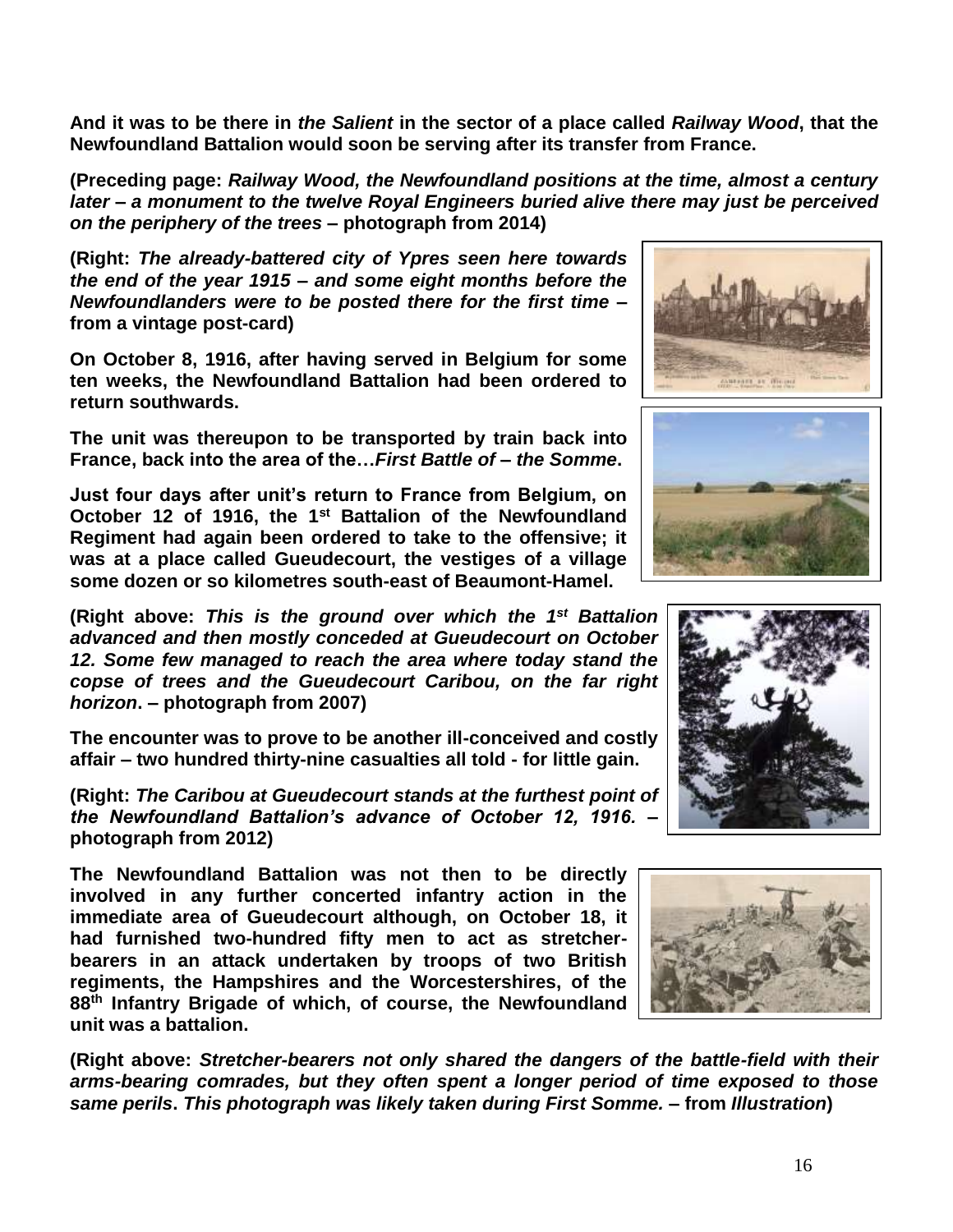**And it was to be there in** *the Salient* **in the sector of a place called** *Railway Wood***, that the Newfoundland Battalion would soon be serving after its transfer from France.**

**(Preceding page:** *Railway Wood, the Newfoundland positions at the time, almost a century later – a monument to the twelve Royal Engineers buried alive there may just be perceived on the periphery of the trees* **– photograph from 2014)**

**(Right:** *The already-battered city of Ypres seen here towards the end of the year 1915 – and some eight months before the Newfoundlanders were to be posted there for the first time* **– from a vintage post-card)**

**On October 8, 1916, after having served in Belgium for some ten weeks, the Newfoundland Battalion had been ordered to return southwards.** 

**The unit was thereupon to be transported by train back into France, back into the area of the…***First Battle of* **–** *the Somme***.**

**Just four days after unit's return to France from Belgium, on October 12 of 1916, the 1st Battalion of the Newfoundland Regiment had again been ordered to take to the offensive; it was at a place called Gueudecourt, the vestiges of a village some dozen or so kilometres south-east of Beaumont-Hamel.**

**(Right above:** *This is the ground over which the 1 st Battalion advanced and then mostly conceded at Gueudecourt on October 12. Some few managed to reach the area where today stand the copse of trees and the Gueudecourt Caribou, on the far right horizon***. – photograph from 2007)**

**The encounter was to prove to be another ill-conceived and costly affair – two hundred thirty-nine casualties all told - for little gain.**

**(Right:** *The Caribou at Gueudecourt stands at the furthest point of the Newfoundland Battalion's advance of October 12, 1916.* **– photograph from 2012)**

**The Newfoundland Battalion was not then to be directly involved in any further concerted infantry action in the immediate area of Gueudecourt although, on October 18, it had furnished two-hundred fifty men to act as stretcherbearers in an attack undertaken by troops of two British regiments, the Hampshires and the Worcestershires, of the 88th Infantry Brigade of which, of course, the Newfoundland unit was a battalion.**

**(Right above:** *Stretcher-bearers not only shared the dangers of the battle-field with their arms-bearing comrades, but they often spent a longer period of time exposed to those same perils***.** *This photograph was likely taken during First Somme.* **– from** *Illustration***)**







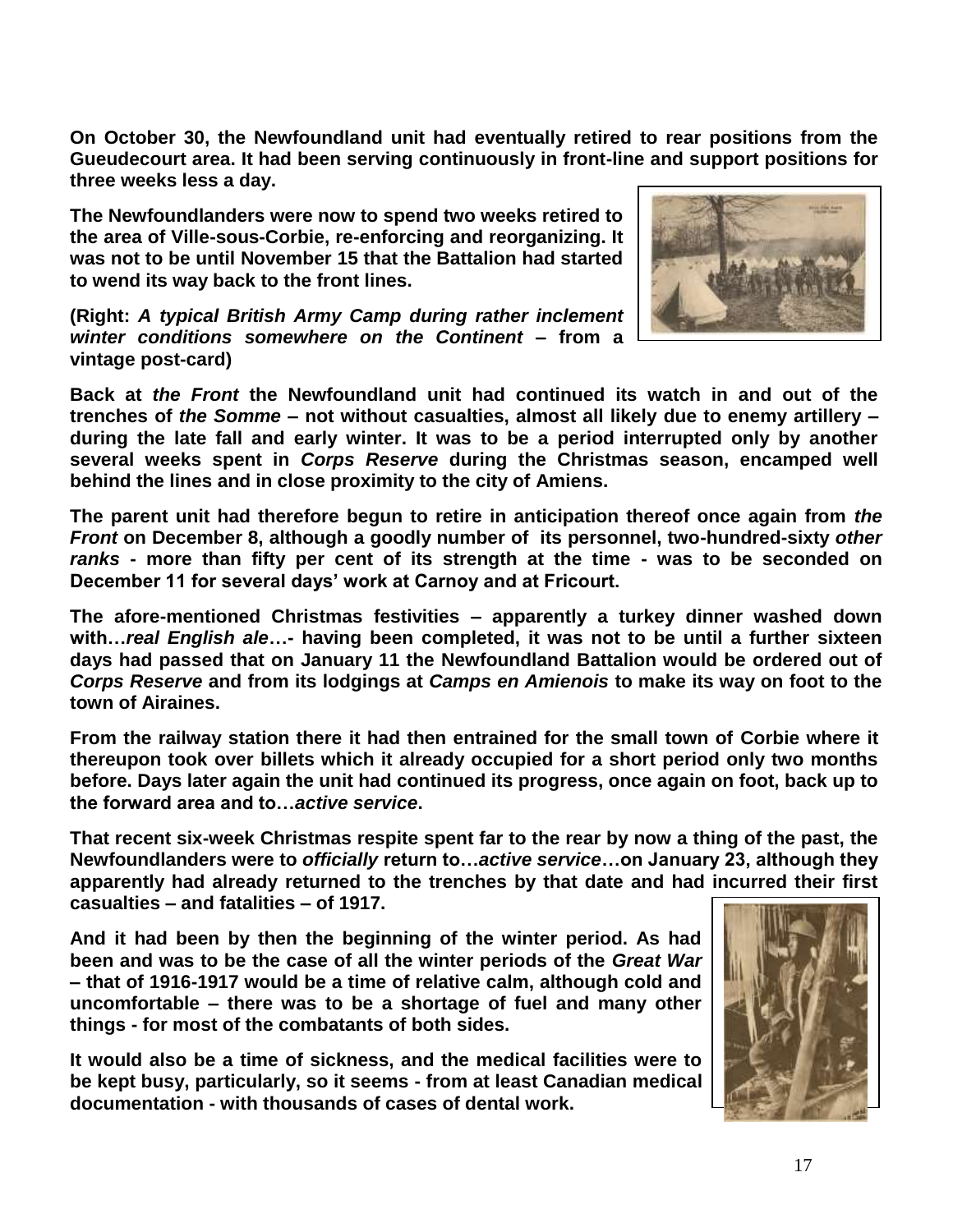**On October 30, the Newfoundland unit had eventually retired to rear positions from the Gueudecourt area. It had been serving continuously in front-line and support positions for three weeks less a day.**

**The Newfoundlanders were now to spend two weeks retired to the area of Ville-sous-Corbie, re-enforcing and reorganizing. It was not to be until November 15 that the Battalion had started to wend its way back to the front lines.** 

**(Right:** *A typical British Army Camp during rather inclement winter conditions somewhere on the Continent* **– from a vintage post-card)** 



**Back at** *the Front* **the Newfoundland unit had continued its watch in and out of the trenches of** *the Somme* **– not without casualties, almost all likely due to enemy artillery – during the late fall and early winter. It was to be a period interrupted only by another several weeks spent in** *Corps Reserve* **during the Christmas season, encamped well behind the lines and in close proximity to the city of Amiens.**

**The parent unit had therefore begun to retire in anticipation thereof once again from** *the Front* **on December 8, although a goodly number of its personnel, two-hundred-sixty** *other ranks* **- more than fifty per cent of its strength at the time - was to be seconded on December 11 for several days' work at Carnoy and at Fricourt.**

**The afore-mentioned Christmas festivities – apparently a turkey dinner washed down with…***real English ale***…- having been completed, it was not to be until a further sixteen days had passed that on January 11 the Newfoundland Battalion would be ordered out of**  *Corps Reserve* **and from its lodgings at** *Camps en Amienois* **to make its way on foot to the town of Airaines.**

**From the railway station there it had then entrained for the small town of Corbie where it thereupon took over billets which it already occupied for a short period only two months before. Days later again the unit had continued its progress, once again on foot, back up to the forward area and to…***active service***.**

**That recent six-week Christmas respite spent far to the rear by now a thing of the past, the Newfoundlanders were to** *officially* **return to…***active service***…on January 23, although they apparently had already returned to the trenches by that date and had incurred their first casualties – and fatalities – of 1917.**

**And it had been by then the beginning of the winter period. As had been and was to be the case of all the winter periods of the** *Great War* **– that of 1916-1917 would be a time of relative calm, although cold and uncomfortable – there was to be a shortage of fuel and many other things - for most of the combatants of both sides.** 

**It would also be a time of sickness, and the medical facilities were to be kept busy, particularly, so it seems - from at least Canadian medical documentation - with thousands of cases of dental work.**

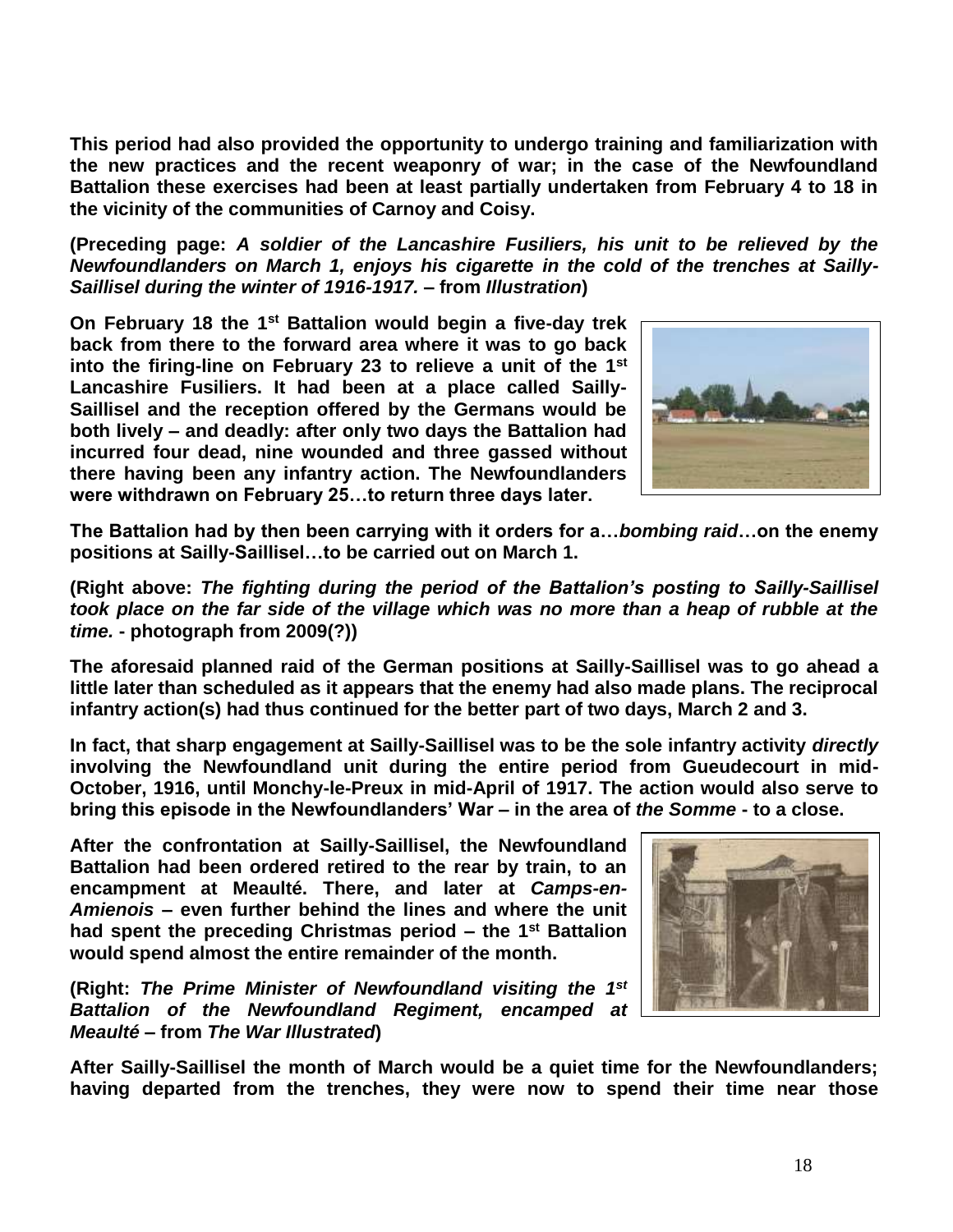**This period had also provided the opportunity to undergo training and familiarization with the new practices and the recent weaponry of war; in the case of the Newfoundland Battalion these exercises had been at least partially undertaken from February 4 to 18 in the vicinity of the communities of Carnoy and Coisy.**

**(Preceding page:** *A soldier of the Lancashire Fusiliers, his unit to be relieved by the Newfoundlanders on March 1, enjoys his cigarette in the cold of the trenches at Sailly-Saillisel during the winter of 1916-1917. –* **from** *Illustration***)**

**On February 18 the 1st Battalion would begin a five-day trek back from there to the forward area where it was to go back into the firing-line on February 23 to relieve a unit of the 1st Lancashire Fusiliers. It had been at a place called Sailly-Saillisel and the reception offered by the Germans would be both lively – and deadly: after only two days the Battalion had incurred four dead, nine wounded and three gassed without there having been any infantry action. The Newfoundlanders were withdrawn on February 25…to return three days later.**



**The Battalion had by then been carrying with it orders for a…***bombing raid***…on the enemy positions at Sailly-Saillisel…to be carried out on March 1.**

**(Right above:** *The fighting during the period of the Battalion's posting to Sailly-Saillisel took place on the far side of the village which was no more than a heap of rubble at the time.* **- photograph from 2009(?))**

**The aforesaid planned raid of the German positions at Sailly-Saillisel was to go ahead a little later than scheduled as it appears that the enemy had also made plans. The reciprocal infantry action(s) had thus continued for the better part of two days, March 2 and 3.** 

**In fact, that sharp engagement at Sailly-Saillisel was to be the sole infantry activity** *directly* **involving the Newfoundland unit during the entire period from Gueudecourt in mid-October, 1916, until Monchy-le-Preux in mid-April of 1917. The action would also serve to bring this episode in the Newfoundlanders' War – in the area of** *the Somme* **- to a close.**

**After the confrontation at Sailly-Saillisel, the Newfoundland Battalion had been ordered retired to the rear by train, to an encampment at Meaulté. There, and later at** *Camps-en-Amienois* **– even further behind the lines and where the unit had spent the preceding Christmas period – the 1st Battalion would spend almost the entire remainder of the month.**

**(Right:** *The Prime Minister of Newfoundland visiting the 1 st Battalion of the Newfoundland Regiment, encamped at Meaulté* **– from** *The War Illustrated***)**



**After Sailly-Saillisel the month of March would be a quiet time for the Newfoundlanders; having departed from the trenches, they were now to spend their time near those**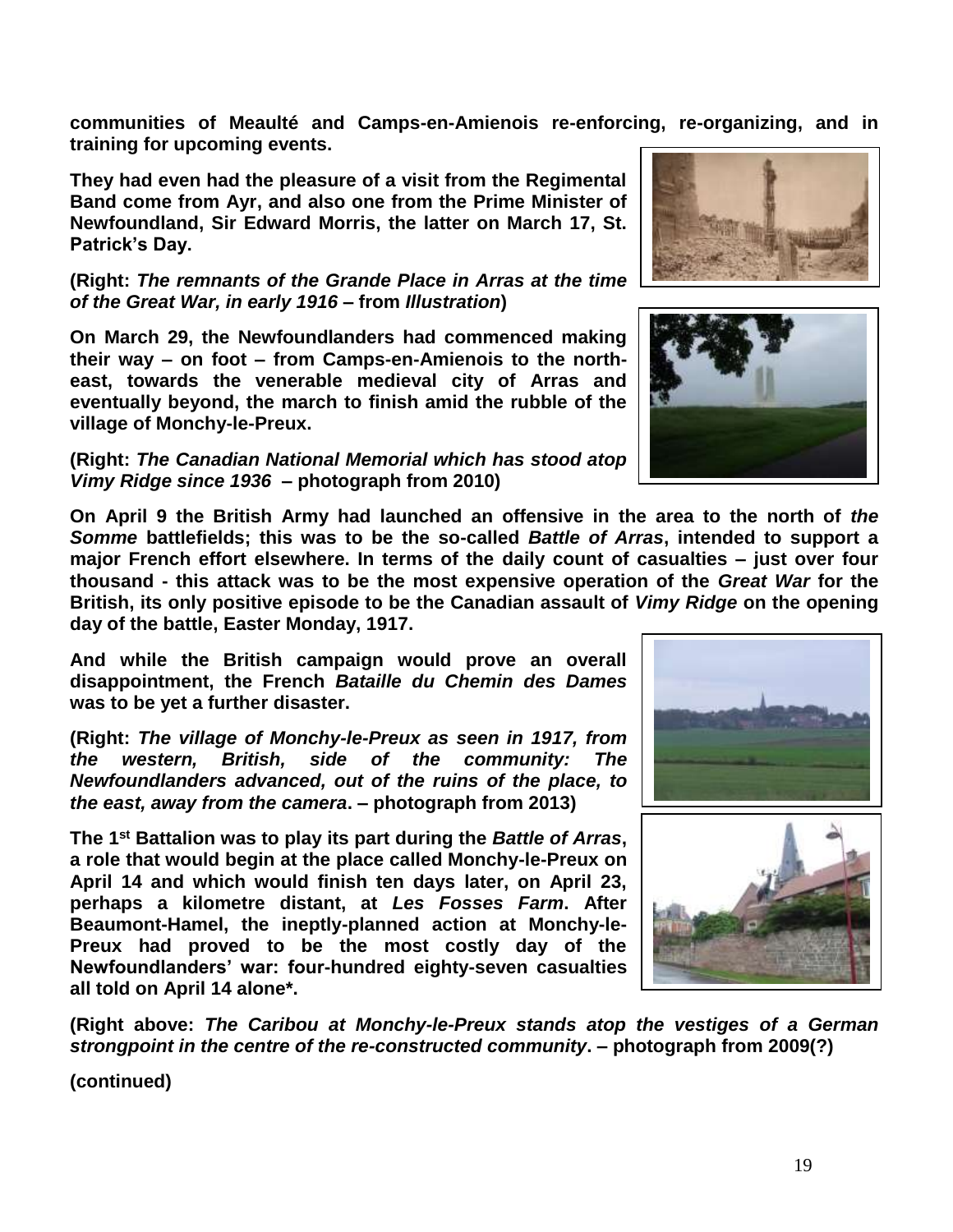**communities of Meaulté and Camps-en-Amienois re-enforcing, re-organizing, and in training for upcoming events.**

**They had even had the pleasure of a visit from the Regimental Band come from Ayr, and also one from the Prime Minister of Newfoundland, Sir Edward Morris, the latter on March 17, St. Patrick's Day.**

**(Right:** *The remnants of the Grande Place in Arras at the time of the Great War, in early 1916* **– from** *Illustration***)**

**On March 29, the Newfoundlanders had commenced making their way – on foot – from Camps-en-Amienois to the northeast, towards the venerable medieval city of Arras and eventually beyond, the march to finish amid the rubble of the village of Monchy-le-Preux.** 

**(Right:** *The Canadian National Memorial which has stood atop Vimy Ridge since 1936* **– photograph from 2010)**

**On April 9 the British Army had launched an offensive in the area to the north of** *the Somme* **battlefields; this was to be the so-called** *Battle of Arras***, intended to support a major French effort elsewhere. In terms of the daily count of casualties – just over four thousand - this attack was to be the most expensive operation of the** *Great War* **for the British, its only positive episode to be the Canadian assault of** *Vimy Ridge* **on the opening day of the battle, Easter Monday, 1917.** 

**And while the British campaign would prove an overall disappointment, the French** *Bataille du Chemin des Dames* **was to be yet a further disaster.**

**(Right:** *The village of Monchy-le-Preux as seen in 1917, from the western, British, side of the community: The Newfoundlanders advanced, out of the ruins of the place, to the east, away from the camera***. – photograph from 2013)**

**The 1st Battalion was to play its part during the** *Battle of Arras***, a role that would begin at the place called Monchy-le-Preux on April 14 and which would finish ten days later, on April 23, perhaps a kilometre distant, at** *Les Fosses Farm***. After Beaumont-Hamel, the ineptly-planned action at Monchy-le-Preux had proved to be the most costly day of the Newfoundlanders' war: four-hundred eighty-seven casualties all told on April 14 alone\*.**

**(Right above:** *The Caribou at Monchy-le-Preux stands atop the vestiges of a German strongpoint in the centre of the re-constructed community***. – photograph from 2009(?)**





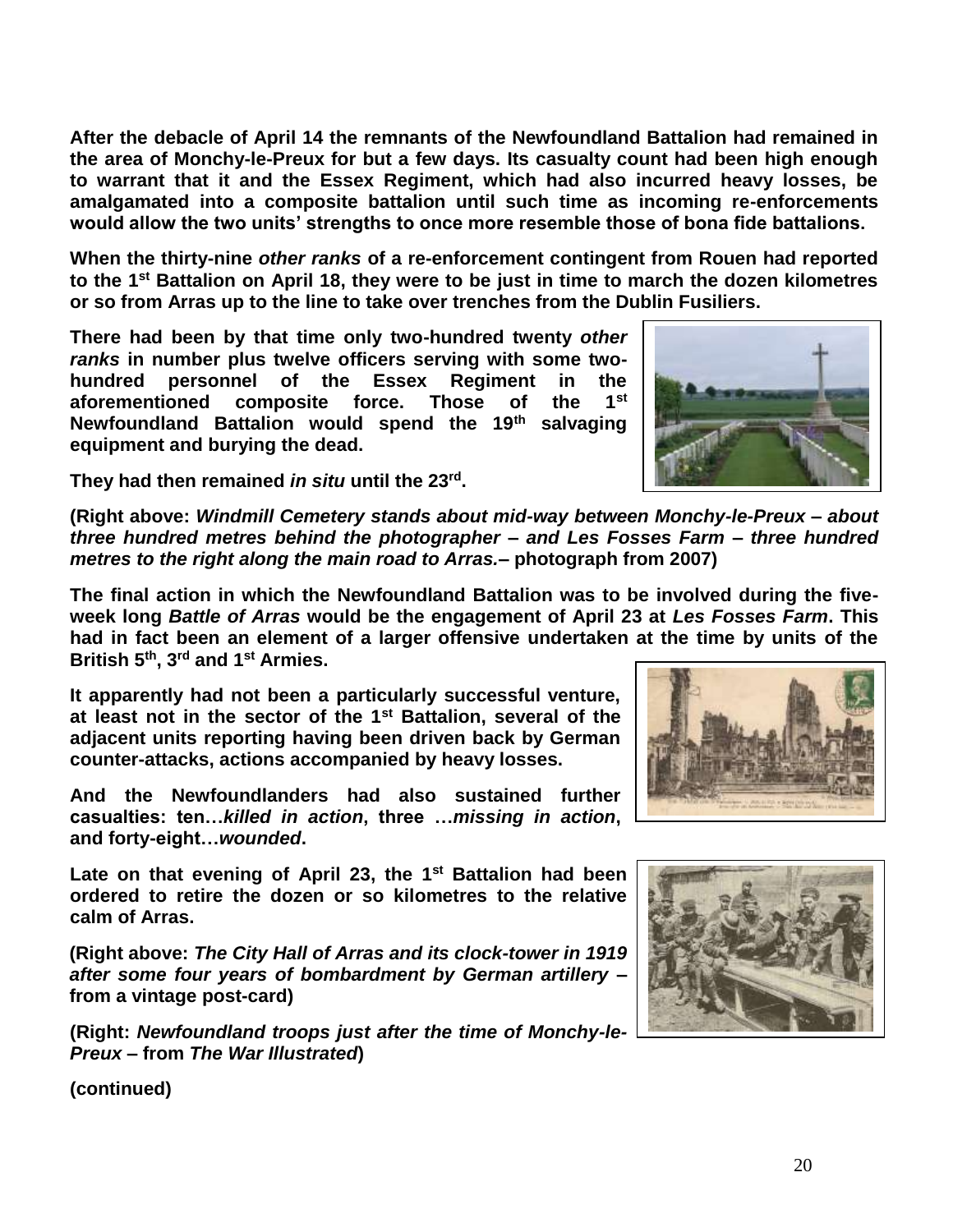20

**After the debacle of April 14 the remnants of the Newfoundland Battalion had remained in the area of Monchy-le-Preux for but a few days. Its casualty count had been high enough to warrant that it and the Essex Regiment, which had also incurred heavy losses, be amalgamated into a composite battalion until such time as incoming re-enforcements would allow the two units' strengths to once more resemble those of bona fide battalions.**

**When the thirty-nine** *other ranks* **of a re-enforcement contingent from Rouen had reported to the 1st Battalion on April 18, they were to be just in time to march the dozen kilometres or so from Arras up to the line to take over trenches from the Dublin Fusiliers.** 

**There had been by that time only two-hundred twenty** *other ranks* **in number plus twelve officers serving with some twohundred personnel of the Essex Regiment in the aforementioned composite force. Those of the 1st Newfoundland Battalion would spend the 19th salvaging equipment and burying the dead.** 

They had then remained *in situ* until the 23<sup>rd</sup>.

**(Right above:** *Windmill Cemetery stands about mid-way between Monchy-le-Preux – about three hundred metres behind the photographer – and Les Fosses Farm – three hundred metres to the right along the main road to Arras.***– photograph from 2007)**

**The final action in which the Newfoundland Battalion was to be involved during the fiveweek long** *Battle of Arras* **would be the engagement of April 23 at** *Les Fosses Farm***. This had in fact been an element of a larger offensive undertaken at the time by units of the British 5th, 3rd and 1st Armies.** 

**It apparently had not been a particularly successful venture, at least not in the sector of the 1st Battalion, several of the adjacent units reporting having been driven back by German counter-attacks, actions accompanied by heavy losses.**

**And the Newfoundlanders had also sustained further casualties: ten…***killed in action***, three …***missing in action***, and forty-eight…***wounded***.**

**Late on that evening of April 23, the 1st Battalion had been ordered to retire the dozen or so kilometres to the relative calm of Arras.** 

**(Right above:** *The City Hall of Arras and its clock-tower in 1919 after some four years of bombardment by German artillery* **– from a vintage post-card)** 

**(Right:** *Newfoundland troops just after the time of Monchy-le-Preux* **– from** *The War Illustrated***)**





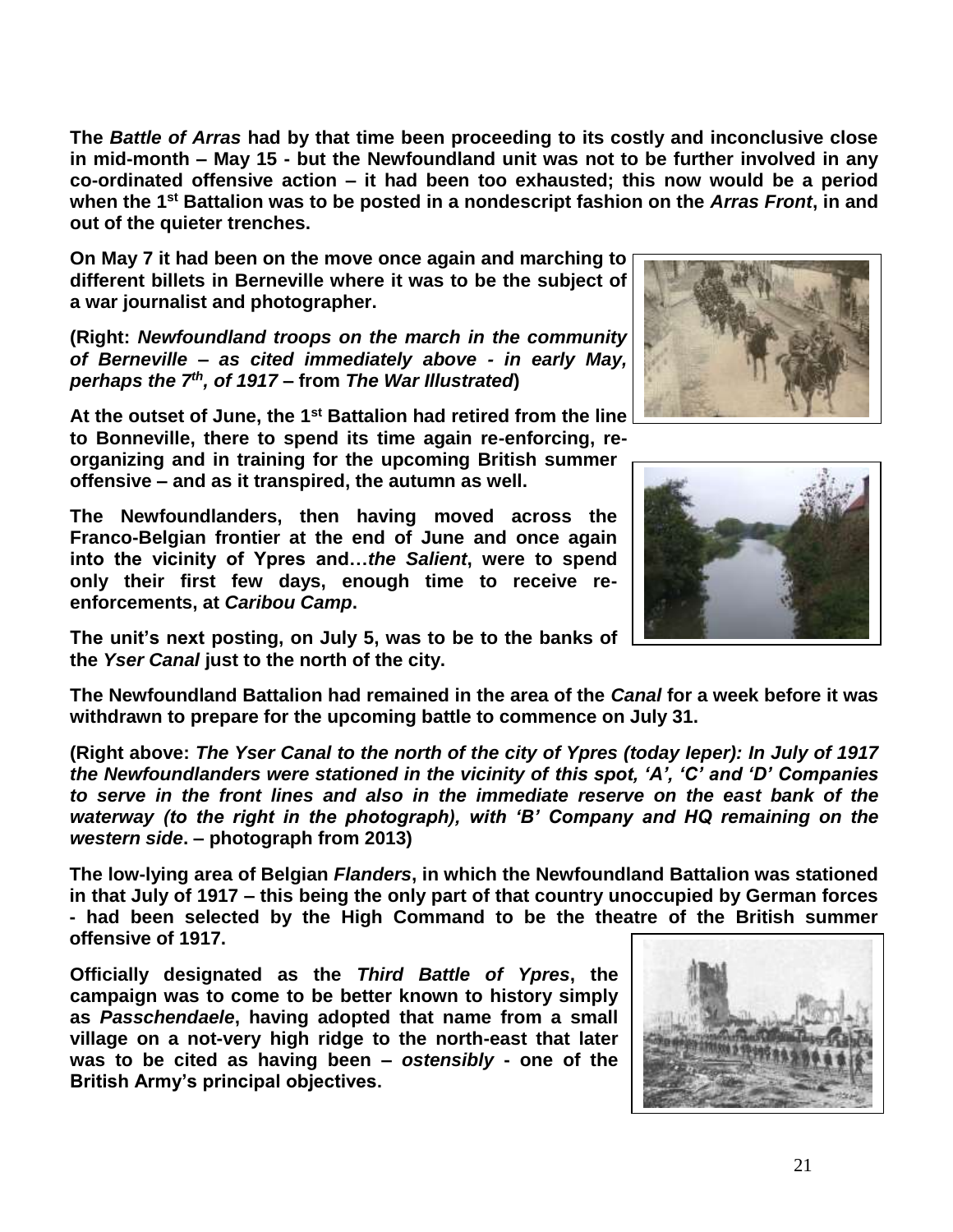**The** *Battle of Arras* **had by that time been proceeding to its costly and inconclusive close in mid-month – May 15 - but the Newfoundland unit was not to be further involved in any co-ordinated offensive action – it had been too exhausted; this now would be a period when the 1st Battalion was to be posted in a nondescript fashion on the** *Arras Front***, in and out of the quieter trenches.** 

**On May 7 it had been on the move once again and marching to different billets in Berneville where it was to be the subject of a war journalist and photographer.**

**(Right:** *Newfoundland troops on the march in the community of Berneville – as cited immediately above - in early May, perhaps the 7th , of 1917* **– from** *The War Illustrated***)**

**At the outset of June, the 1st Battalion had retired from the line to Bonneville, there to spend its time again re-enforcing, re-**

**organizing and in training for the upcoming British summer offensive – and as it transpired, the autumn as well.**

**The Newfoundlanders, then having moved across the Franco-Belgian frontier at the end of June and once again into the vicinity of Ypres and…***the Salient***, were to spend only their first few days, enough time to receive reenforcements, at** *Caribou Camp***.** 

**The unit's next posting, on July 5, was to be to the banks of the** *Yser Canal* **just to the north of the city.** 

**The Newfoundland Battalion had remained in the area of the** *Canal* **for a week before it was withdrawn to prepare for the upcoming battle to commence on July 31.** 

**(Right above:** *The Yser Canal to the north of the city of Ypres (today Ieper): In July of 1917 the Newfoundlanders were stationed in the vicinity of this spot, 'A', 'C' and 'D' Companies to serve in the front lines and also in the immediate reserve on the east bank of the waterway (to the right in the photograph), with 'B' Company and HQ remaining on the western side***. – photograph from 2013)**

**The low-lying area of Belgian** *Flanders***, in which the Newfoundland Battalion was stationed in that July of 1917 – this being the only part of that country unoccupied by German forces - had been selected by the High Command to be the theatre of the British summer offensive of 1917.**

**Officially designated as the** *Third Battle of Ypres***, the campaign was to come to be better known to history simply as** *Passchendaele***, having adopted that name from a small village on a not-very high ridge to the north-east that later was to be cited as having been –** *ostensibly* **- one of the British Army's principal objectives.**





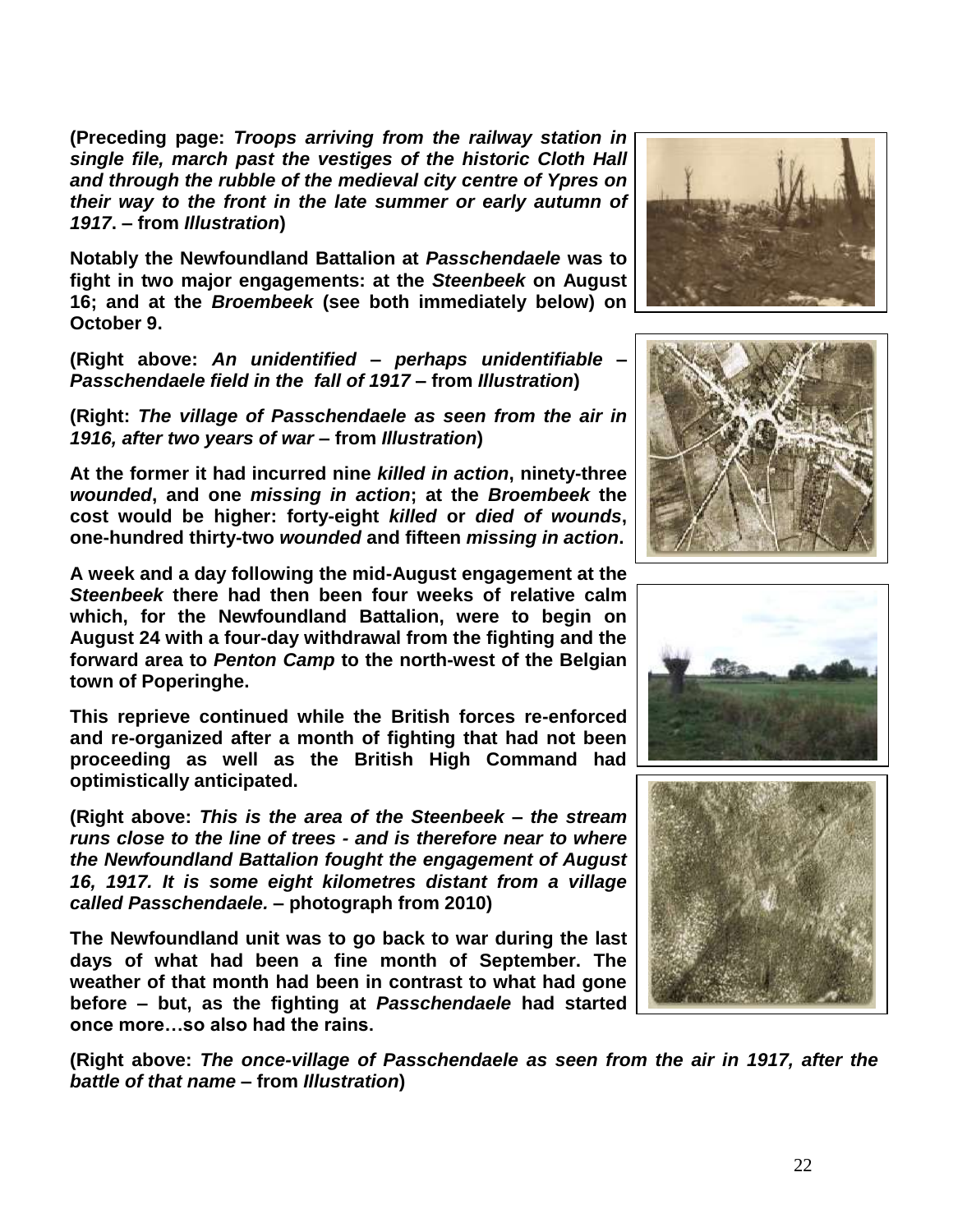**(Preceding page:** *Troops arriving from the railway station in single file, march past the vestiges of the historic Cloth Hall and through the rubble of the medieval city centre of Ypres on their way to the front in the late summer or early autumn of 1917***. – from** *Illustration***)**

**Notably the Newfoundland Battalion at** *Passchendaele* **was to fight in two major engagements: at the** *Steenbeek* **on August 16; and at the** *Broembeek* **(see both immediately below) on October 9.**

**(Right above:** *An unidentified – perhaps unidentifiable – Passchendaele field in the fall of 1917* **– from** *Illustration***)**

**(Right:** *The village of Passchendaele as seen from the air in 1916, after two years of war* **– from** *Illustration***)**

**At the former it had incurred nine** *killed in action***, ninety-three**  *wounded***, and one** *missing in action***; at the** *Broembeek* **the cost would be higher: forty-eight** *killed* **or** *died of wounds***, one-hundred thirty-two** *wounded* **and fifteen** *missing in action***.**

**A week and a day following the mid-August engagement at the**  *Steenbeek* **there had then been four weeks of relative calm which, for the Newfoundland Battalion, were to begin on August 24 with a four-day withdrawal from the fighting and the forward area to** *Penton Camp* **to the north-west of the Belgian town of Poperinghe.** 

**This reprieve continued while the British forces re-enforced and re-organized after a month of fighting that had not been proceeding as well as the British High Command had optimistically anticipated.** 

**(Right above:** *This is the area of the Steenbeek – the stream runs close to the line of trees - and is therefore near to where the Newfoundland Battalion fought the engagement of August 16, 1917. It is some eight kilometres distant from a village called Passchendaele.* **– photograph from 2010)**

**The Newfoundland unit was to go back to war during the last days of what had been a fine month of September. The weather of that month had been in contrast to what had gone before – but, as the fighting at** *Passchendaele* **had started once more…so also had the rains.** 

**(Right above:** *The once-village of Passchendaele as seen from the air in 1917, after the battle of that name* **– from** *Illustration***)**







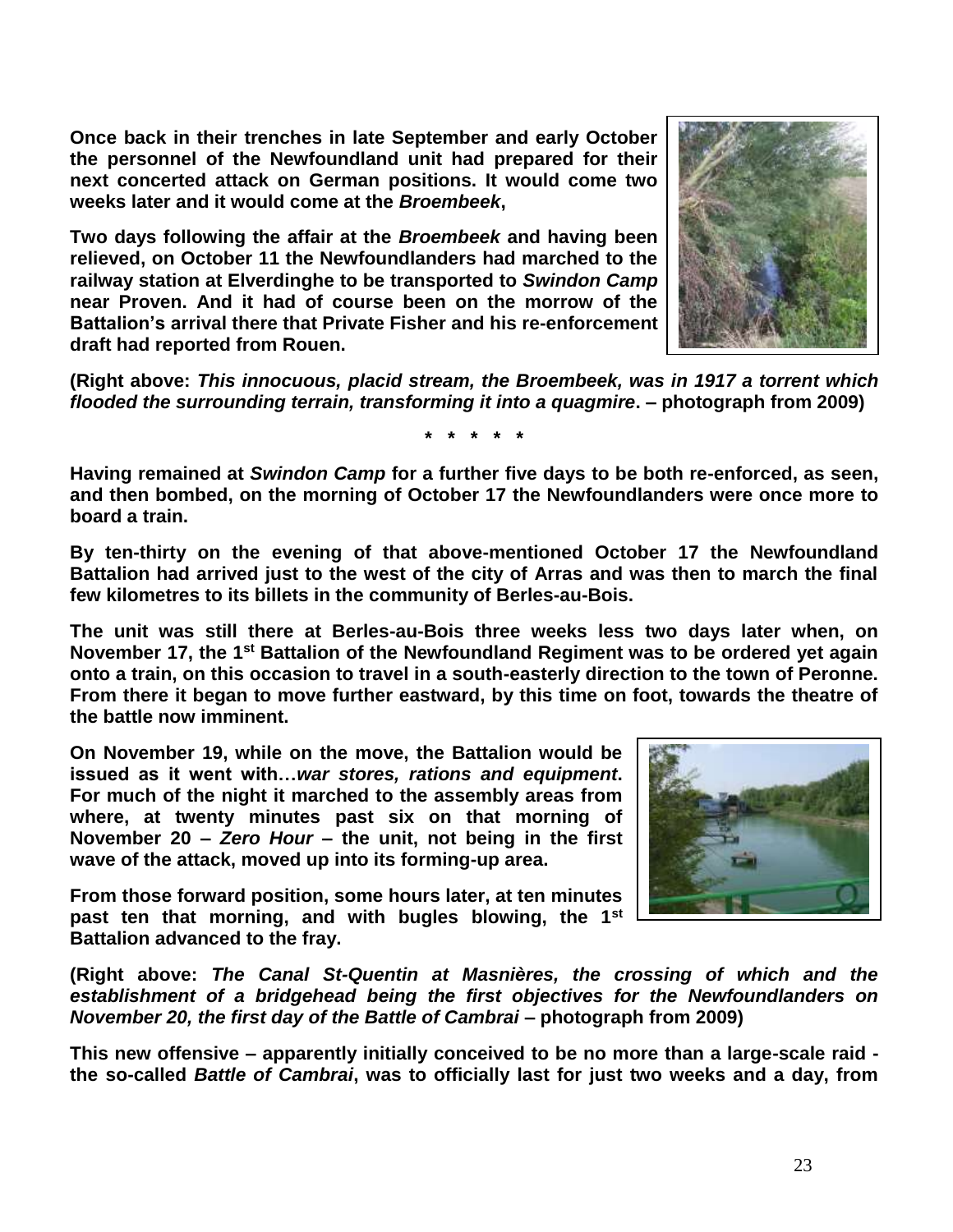**Once back in their trenches in late September and early October the personnel of the Newfoundland unit had prepared for their next concerted attack on German positions. It would come two weeks later and it would come at the** *Broembeek***,** 

**Two days following the affair at the** *Broembeek* **and having been relieved, on October 11 the Newfoundlanders had marched to the railway station at Elverdinghe to be transported to** *Swindon Camp* **near Proven. And it had of course been on the morrow of the Battalion's arrival there that Private Fisher and his re-enforcement draft had reported from Rouen.** 

**(Right above:** *This innocuous, placid stream, the Broembeek, was in 1917 a torrent which flooded the surrounding terrain, transforming it into a quagmire***. – photograph from 2009)**

**\* \* \* \* \***

**Having remained at** *Swindon Camp* **for a further five days to be both re-enforced, as seen, and then bombed, on the morning of October 17 the Newfoundlanders were once more to board a train.** 

**By ten-thirty on the evening of that above-mentioned October 17 the Newfoundland Battalion had arrived just to the west of the city of Arras and was then to march the final few kilometres to its billets in the community of Berles-au-Bois.**

**The unit was still there at Berles-au-Bois three weeks less two days later when, on November 17, the 1st Battalion of the Newfoundland Regiment was to be ordered yet again onto a train, on this occasion to travel in a south-easterly direction to the town of Peronne. From there it began to move further eastward, by this time on foot, towards the theatre of the battle now imminent.** 

**On November 19, while on the move, the Battalion would be issued as it went with…***war stores, rations and equipment***. For much of the night it marched to the assembly areas from where, at twenty minutes past six on that morning of November 20 –** *Zero Hour* **– the unit, not being in the first wave of the attack, moved up into its forming-up area.** 

**From those forward position, some hours later, at ten minutes past ten that morning, and with bugles blowing, the 1st Battalion advanced to the fray.**

**(Right above:** *The Canal St-Quentin at Masnières, the crossing of which and the establishment of a bridgehead being the first objectives for the Newfoundlanders on November 20, the first day of the Battle of Cambrai* **– photograph from 2009)**

**This new offensive – apparently initially conceived to be no more than a large-scale raid the so-called** *Battle of Cambrai***, was to officially last for just two weeks and a day, from** 



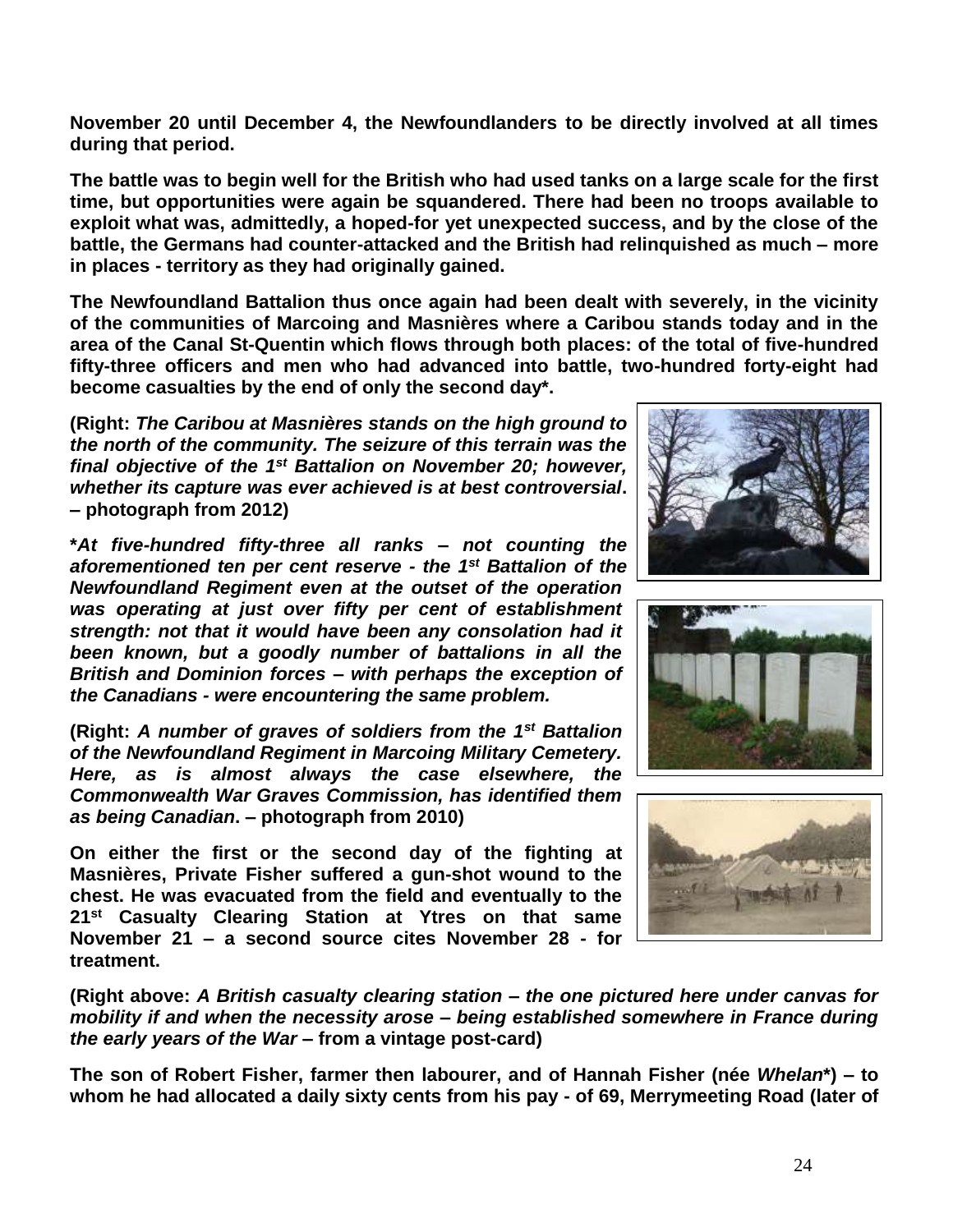**November 20 until December 4, the Newfoundlanders to be directly involved at all times during that period.** 

**The battle was to begin well for the British who had used tanks on a large scale for the first time, but opportunities were again be squandered. There had been no troops available to exploit what was, admittedly, a hoped-for yet unexpected success, and by the close of the battle, the Germans had counter-attacked and the British had relinquished as much – more in places - territory as they had originally gained.** 

**The Newfoundland Battalion thus once again had been dealt with severely, in the vicinity of the communities of Marcoing and Masnières where a Caribou stands today and in the area of the Canal St-Quentin which flows through both places: of the total of five-hundred fifty-three officers and men who had advanced into battle, two-hundred forty-eight had become casualties by the end of only the second day\*.**

**(Right:** *The Caribou at Masnières stands on the high ground to the north of the community. The seizure of this terrain was the*  final objective of the 1<sup>st</sup> Battalion on November 20; however, *whether its capture was ever achieved is at best controversial***. – photograph from 2012)**

**\****At five-hundred fifty-three all ranks – not counting the aforementioned ten per cent reserve - the 1st Battalion of the Newfoundland Regiment even at the outset of the operation was operating at just over fifty per cent of establishment strength: not that it would have been any consolation had it been known, but a goodly number of battalions in all the British and Dominion forces – with perhaps the exception of the Canadians - were encountering the same problem.*

**(Right:** *A number of graves of soldiers from the 1st Battalion of the Newfoundland Regiment in Marcoing Military Cemetery. Here, as is almost always the case elsewhere, the Commonwealth War Graves Commission, has identified them as being Canadian***. – photograph from 2010)**

**On either the first or the second day of the fighting at Masnières, Private Fisher suffered a gun-shot wound to the chest. He was evacuated from the field and eventually to the 21st Casualty Clearing Station at Ytres on that same November 21 – a second source cites November 28 - for treatment.**







**(Right above:** *A British casualty clearing station – the one pictured here under canvas for mobility if and when the necessity arose – being established somewhere in France during the early years of the War* **– from a vintage post-card)**

**The son of Robert Fisher, farmer then labourer, and of Hannah Fisher (née** *Whelan***\*) – to whom he had allocated a daily sixty cents from his pay - of 69, Merrymeeting Road (later of**